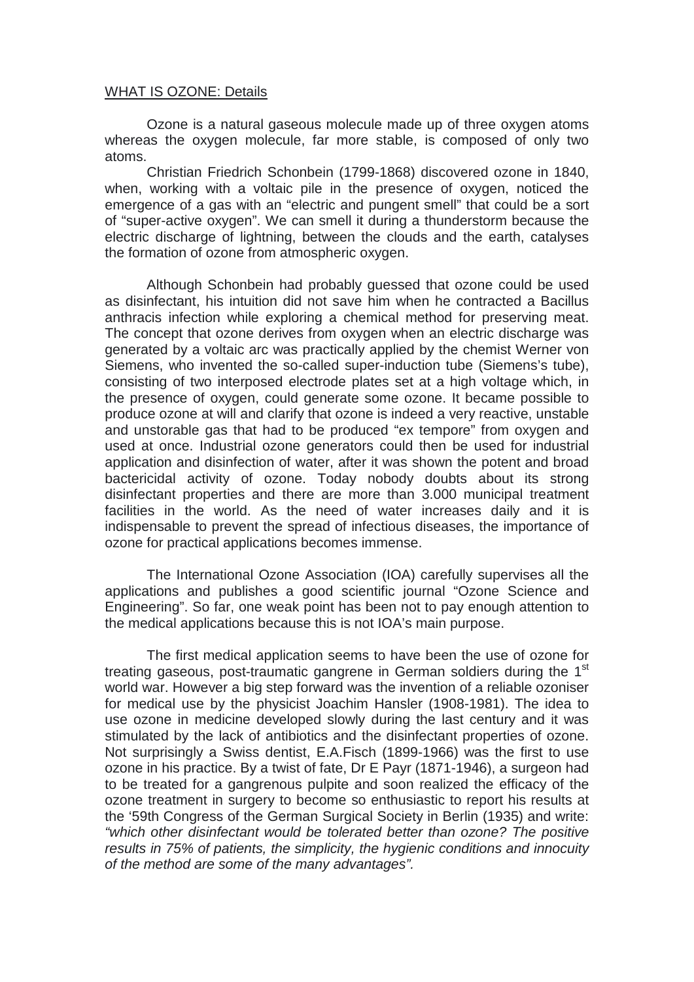### WHAT IS OZONE: Details

Ozone is a natural gaseous molecule made up of three oxygen atoms whereas the oxygen molecule, far more stable, is composed of only two atoms.

Christian Friedrich Schonbein (1799-1868) discovered ozone in 1840, when, working with a voltaic pile in the presence of oxygen, noticed the emergence of a gas with an "electric and pungent smell" that could be a sort of "super-active oxygen". We can smell it during a thunderstorm because the electric discharge of lightning, between the clouds and the earth, catalyses the formation of ozone from atmospheric oxygen.

Although Schonbein had probably guessed that ozone could be used as disinfectant, his intuition did not save him when he contracted a Bacillus anthracis infection while exploring a chemical method for preserving meat. The concept that ozone derives from oxygen when an electric discharge was generated by a voltaic arc was practically applied by the chemist Werner von Siemens, who invented the so-called super-induction tube (Siemens's tube), consisting of two interposed electrode plates set at a high voltage which, in the presence of oxygen, could generate some ozone. It became possible to produce ozone at will and clarify that ozone is indeed a very reactive, unstable and unstorable gas that had to be produced "ex tempore" from oxygen and used at once. Industrial ozone generators could then be used for industrial application and disinfection of water, after it was shown the potent and broad bactericidal activity of ozone. Today nobody doubts about its strong disinfectant properties and there are more than 3.000 municipal treatment facilities in the world. As the need of water increases daily and it is indispensable to prevent the spread of infectious diseases, the importance of ozone for practical applications becomes immense.

The International Ozone Association (IOA) carefully supervises all the applications and publishes a good scientific journal "Ozone Science and Engineering". So far, one weak point has been not to pay enough attention to the medical applications because this is not IOA's main purpose.

The first medical application seems to have been the use of ozone for treating gaseous, post-traumatic gangrene in German soldiers during the 1<sup>st</sup> world war. However a big step forward was the invention of a reliable ozoniser for medical use by the physicist Joachim Hansler (1908-1981). The idea to use ozone in medicine developed slowly during the last century and it was stimulated by the lack of antibiotics and the disinfectant properties of ozone. Not surprisingly a Swiss dentist, E.A.Fisch (1899-1966) was the first to use ozone in his practice. By a twist of fate, Dr E Payr (1871-1946), a surgeon had to be treated for a gangrenous pulpite and soon realized the efficacy of the ozone treatment in surgery to become so enthusiastic to report his results at the '59th Congress of the German Surgical Society in Berlin (1935) and write: *"which other disinfectant would be tolerated better than ozone? The positive results in 75% of patients, the simplicity, the hygienic conditions and innocuity of the method are some of the many advantages".*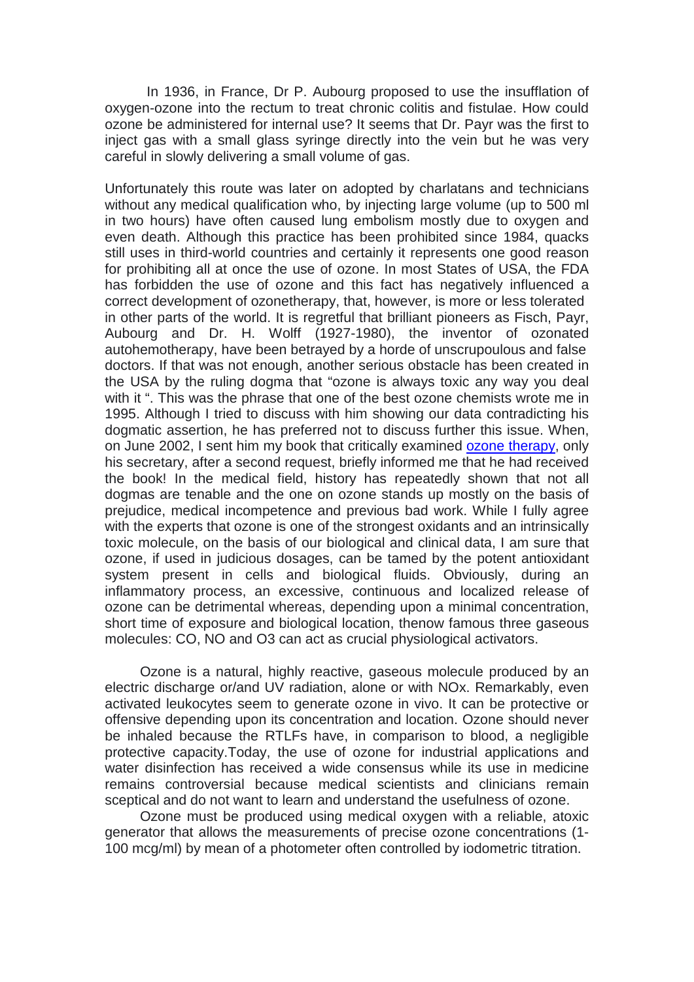In 1936, in France, Dr P. Aubourg proposed to use the insufflation of oxygen-ozone into the rectum to treat chronic colitis and fistulae. How could ozone be administered for internal use? It seems that Dr. Payr was the first to inject gas with a small glass syringe directly into the vein but he was very careful in slowly delivering a small volume of gas.

Unfortunately this route was later on adopted by charlatans and technicians without any medical qualification who, by injecting large volume (up to 500 ml in two hours) have often caused lung embolism mostly due to oxygen and even death. Although this practice has been prohibited since 1984, quacks still uses in third-world countries and certainly it represents one good reason for prohibiting all at once the use of ozone. In most States of USA, the FDA has forbidden the use of ozone and this fact has negatively influenced a correct development of ozonetherapy, that, however, is more or less tolerated in other parts of the world. It is regretful that brilliant pioneers as Fisch, Payr, Aubourg and Dr. H. Wolff (1927-1980), the inventor of ozonated autohemotherapy, have been betrayed by a horde of unscrupoulous and false doctors. If that was not enough, another serious obstacle has been created in the USA by the ruling dogma that "ozone is always toxic any way you deal with it ". This was the phrase that one of the best ozone chemists wrote me in 1995. Although I tried to discuss with him showing our data contradicting his dogmatic assertion, he has preferred not to discuss further this issue. When, on June 2002, I sent him my book that critically examined [ozone therapy,](http://www.austinozone.com/) only his secretary, after a second request, briefly informed me that he had received the book! In the medical field, history has repeatedly shown that not all dogmas are tenable and the one on ozone stands up mostly on the basis of prejudice, medical incompetence and previous bad work. While I fully agree with the experts that ozone is one of the strongest oxidants and an intrinsically toxic molecule, on the basis of our biological and clinical data, I am sure that ozone, if used in judicious dosages, can be tamed by the potent antioxidant system present in cells and biological fluids. Obviously, during an inflammatory process, an excessive, continuous and localized release of ozone can be detrimental whereas, depending upon a minimal concentration, short time of exposure and biological location, thenow famous three gaseous molecules: CO, NO and O3 can act as crucial physiological activators.

 Ozone is a natural, highly reactive, gaseous molecule produced by an electric discharge or/and UV radiation, alone or with NOx. Remarkably, even activated leukocytes seem to generate ozone in vivo. It can be protective or offensive depending upon its concentration and location. Ozone should never be inhaled because the RTLFs have, in comparison to blood, a negligible protective capacity.Today, the use of ozone for industrial applications and water disinfection has received a wide consensus while its use in medicine remains controversial because medical scientists and clinicians remain sceptical and do not want to learn and understand the usefulness of ozone.

 Ozone must be produced using medical oxygen with a reliable, atoxic generator that allows the measurements of precise ozone concentrations (1- 100 mcg/ml) by mean of a photometer often controlled by iodometric titration.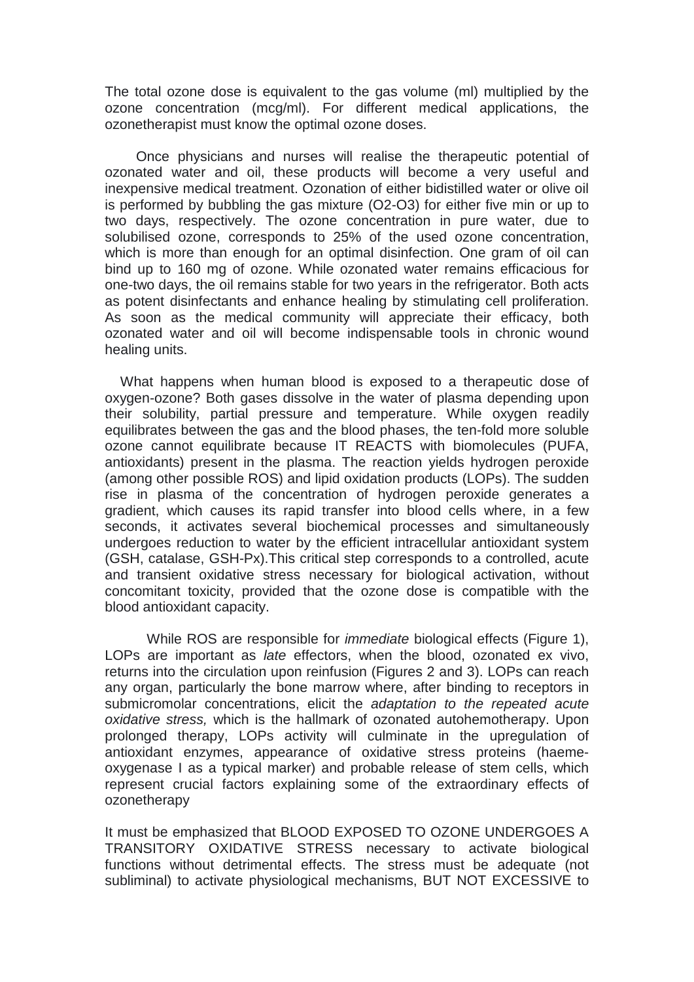The total ozone dose is equivalent to the gas volume (ml) multiplied by the ozone concentration (mcg/ml). For different medical applications, the ozonetherapist must know the optimal ozone doses.

 Once physicians and nurses will realise the therapeutic potential of ozonated water and oil, these products will become a very useful and inexpensive medical treatment. Ozonation of either bidistilled water or olive oil is performed by bubbling the gas mixture (O2-O3) for either five min or up to two days, respectively. The ozone concentration in pure water, due to solubilised ozone, corresponds to 25% of the used ozone concentration, which is more than enough for an optimal disinfection. One gram of oil can bind up to 160 mg of ozone. While ozonated water remains efficacious for one-two days, the oil remains stable for two years in the refrigerator. Both acts as potent disinfectants and enhance healing by stimulating cell proliferation. As soon as the medical community will appreciate their efficacy, both ozonated water and oil will become indispensable tools in chronic wound healing units.

 What happens when human blood is exposed to a therapeutic dose of oxygen-ozone? Both gases dissolve in the water of plasma depending upon their solubility, partial pressure and temperature. While oxygen readily equilibrates between the gas and the blood phases, the ten-fold more soluble ozone cannot equilibrate because IT REACTS with biomolecules (PUFA, antioxidants) present in the plasma. The reaction yields hydrogen peroxide (among other possible ROS) and lipid oxidation products (LOPs). The sudden rise in plasma of the concentration of hydrogen peroxide generates a gradient, which causes its rapid transfer into blood cells where, in a few seconds, it activates several biochemical processes and simultaneously undergoes reduction to water by the efficient intracellular antioxidant system (GSH, catalase, GSH-Px).This critical step corresponds to a controlled, acute and transient oxidative stress necessary for biological activation, without concomitant toxicity, provided that the ozone dose is compatible with the blood antioxidant capacity.

While ROS are responsible for *immediate* biological effects (Figure 1), LOPs are important as *late* effectors, when the blood, ozonated ex vivo, returns into the circulation upon reinfusion (Figures 2 and 3). LOPs can reach any organ, particularly the bone marrow where, after binding to receptors in submicromolar concentrations, elicit the *adaptation to the repeated acute oxidative stress,* which is the hallmark of ozonated autohemotherapy. Upon prolonged therapy, LOPs activity will culminate in the upregulation of antioxidant enzymes, appearance of oxidative stress proteins (haemeoxygenase I as a typical marker) and probable release of stem cells, which represent crucial factors explaining some of the extraordinary effects of ozonetherapy

It must be emphasized that BLOOD EXPOSED TO OZONE UNDERGOES A TRANSITORY OXIDATIVE STRESS necessary to activate biological functions without detrimental effects. The stress must be adequate (not subliminal) to activate physiological mechanisms, BUT NOT EXCESSIVE to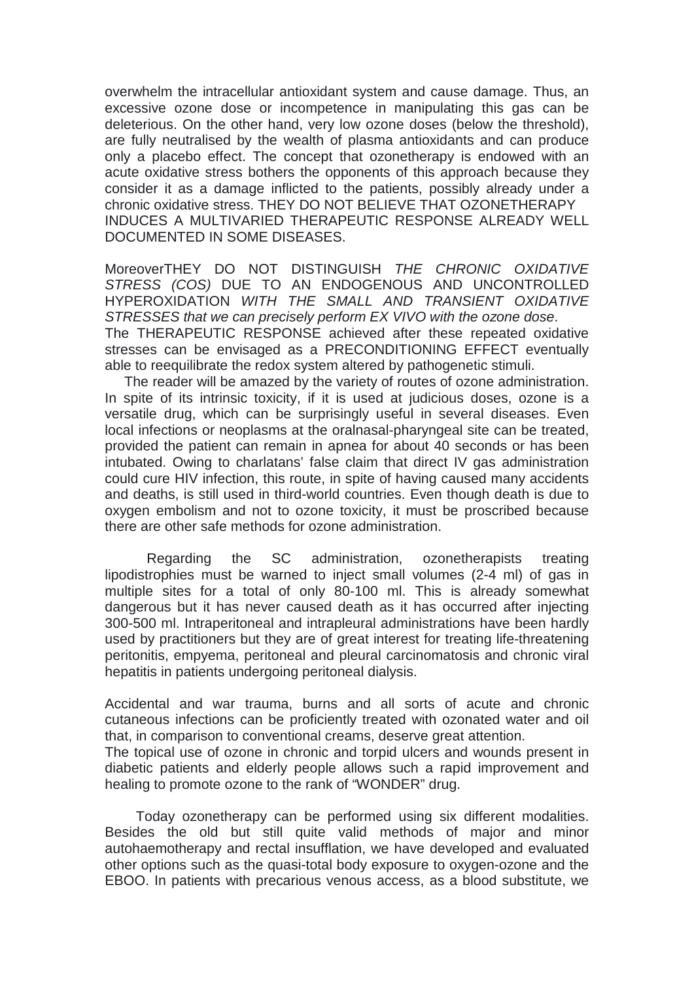overwhelm the intracellular antioxidant system and cause damage. Thus, an excessive ozone dose or incompetence in manipulating this gas can be deleterious. On the other hand, very low ozone doses (below the threshold), are fully neutralised by the wealth of plasma antioxidants and can produce only a placebo effect. The concept that ozonetherapy is endowed with an acute oxidative stress bothers the opponents of this approach because they consider it as a damage inflicted to the patients, possibly already under a chronic oxidative stress. THEY DO NOT BELIEVE THAT OZONETHERAPY INDUCES A MULTIVARIED THERAPEUTIC RESPONSE ALREADY WELL DOCUMENTED IN SOME DISEASES.

MoreoverTHEY DO NOT DISTINGUISH *THE CHRONIC OXIDATIVE STRESS (COS)* DUE TO AN ENDOGENOUS AND UNCONTROLLED HYPEROXIDATION *WITH THE SMALL AND TRANSIENT OXIDATIVE STRESSES that we can precisely perform EX VIVO with the ozone dose*. The THERAPEUTIC RESPONSE achieved after these repeated oxidative stresses can be envisaged as a PRECONDITIONING EFFECT eventually able to reequilibrate the redox system altered by pathogenetic stimuli.

 The reader will be amazed by the variety of routes of ozone administration. In spite of its intrinsic toxicity, if it is used at judicious doses, ozone is a versatile drug, which can be surprisingly useful in several diseases. Even local infections or neoplasms at the oralnasal-pharyngeal site can be treated, provided the patient can remain in apnea for about 40 seconds or has been intubated. Owing to charlatans' false claim that direct IV gas administration could cure HIV infection, this route, in spite of having caused many accidents and deaths, is still used in third-world countries. Even though death is due to oxygen embolism and not to ozone toxicity, it must be proscribed because there are other safe methods for ozone administration.

Regarding the SC administration, ozonetherapists treating lipodistrophies must be warned to inject small volumes (2-4 ml) of gas in multiple sites for a total of only 80-100 ml. This is already somewhat dangerous but it has never caused death as it has occurred after injecting 300-500 ml. Intraperitoneal and intrapleural administrations have been hardly used by practitioners but they are of great interest for treating life-threatening peritonitis, empyema, peritoneal and pleural carcinomatosis and chronic viral hepatitis in patients undergoing peritoneal dialysis.

Accidental and war trauma, burns and all sorts of acute and chronic cutaneous infections can be proficiently treated with ozonated water and oil that, in comparison to conventional creams, deserve great attention.

The topical use of ozone in chronic and torpid ulcers and wounds present in diabetic patients and elderly people allows such a rapid improvement and healing to promote ozone to the rank of "WONDER" drug.

 Today ozonetherapy can be performed using six different modalities. Besides the old but still quite valid methods of major and minor autohaemotherapy and rectal insufflation, we have developed and evaluated other options such as the quasi-total body exposure to oxygen-ozone and the EBOO. In patients with precarious venous access, as a blood substitute, we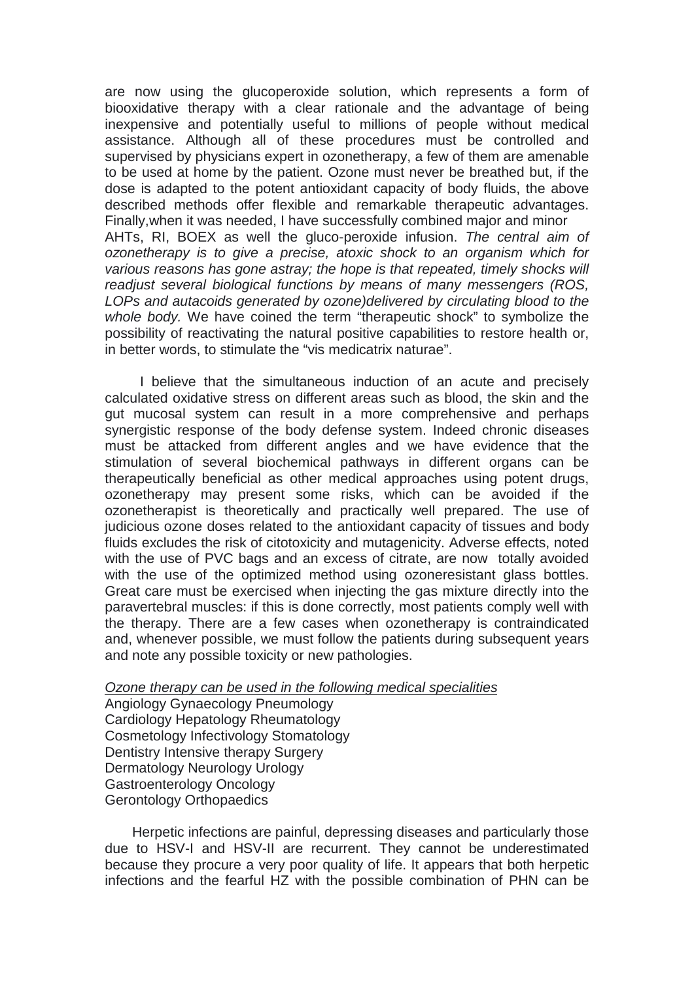are now using the glucoperoxide solution, which represents a form of biooxidative therapy with a clear rationale and the advantage of being inexpensive and potentially useful to millions of people without medical assistance. Although all of these procedures must be controlled and supervised by physicians expert in ozonetherapy, a few of them are amenable to be used at home by the patient. Ozone must never be breathed but, if the dose is adapted to the potent antioxidant capacity of body fluids, the above described methods offer flexible and remarkable therapeutic advantages. Finally,when it was needed, I have successfully combined major and minor AHTs, RI, BOEX as well the gluco-peroxide infusion. *The central aim of ozonetherapy is to give a precise, atoxic shock to an organism which for various reasons has gone astray; the hope is that repeated, timely shocks will readjust several biological functions by means of many messengers (ROS, LOPs and autacoids generated by ozone)delivered by circulating blood to the whole body.* We have coined the term "therapeutic shock" to symbolize the possibility of reactivating the natural positive capabilities to restore health or, in better words, to stimulate the "vis medicatrix naturae".

 I believe that the simultaneous induction of an acute and precisely calculated oxidative stress on different areas such as blood, the skin and the gut mucosal system can result in a more comprehensive and perhaps synergistic response of the body defense system. Indeed chronic diseases must be attacked from different angles and we have evidence that the stimulation of several biochemical pathways in different organs can be therapeutically beneficial as other medical approaches using potent drugs, ozonetherapy may present some risks, which can be avoided if the ozonetherapist is theoretically and practically well prepared. The use of judicious ozone doses related to the antioxidant capacity of tissues and body fluids excludes the risk of citotoxicity and mutagenicity. Adverse effects, noted with the use of PVC bags and an excess of citrate, are now totally avoided with the use of the optimized method using ozoneresistant glass bottles. Great care must be exercised when injecting the gas mixture directly into the paravertebral muscles: if this is done correctly, most patients comply well with the therapy. There are a few cases when ozonetherapy is contraindicated and, whenever possible, we must follow the patients during subsequent years and note any possible toxicity or new pathologies.

*Ozone therapy can be used in the following medical specialities*

Angiology Gynaecology Pneumology Cardiology Hepatology Rheumatology Cosmetology Infectivology Stomatology Dentistry Intensive therapy Surgery Dermatology Neurology Urology Gastroenterology Oncology Gerontology Orthopaedics

 Herpetic infections are painful, depressing diseases and particularly those due to HSV-I and HSV-II are recurrent. They cannot be underestimated because they procure a very poor quality of life. It appears that both herpetic infections and the fearful HZ with the possible combination of PHN can be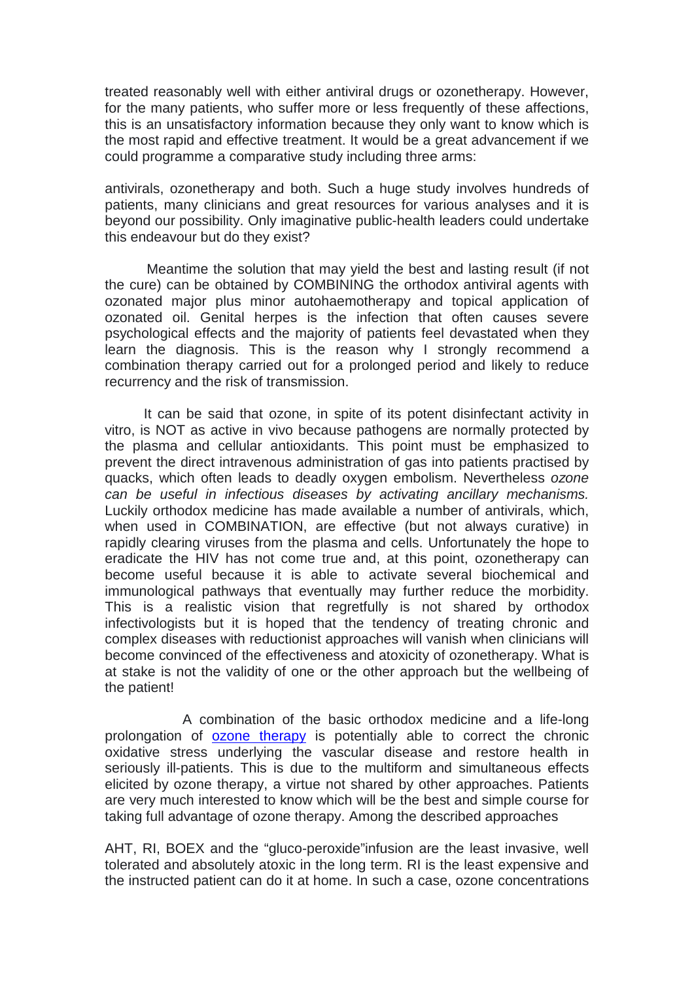treated reasonably well with either antiviral drugs or ozonetherapy. However, for the many patients, who suffer more or less frequently of these affections, this is an unsatisfactory information because they only want to know which is the most rapid and effective treatment. It would be a great advancement if we could programme a comparative study including three arms:

antivirals, ozonetherapy and both. Such a huge study involves hundreds of patients, many clinicians and great resources for various analyses and it is beyond our possibility. Only imaginative public-health leaders could undertake this endeavour but do they exist?

Meantime the solution that may yield the best and lasting result (if not the cure) can be obtained by COMBINING the orthodox antiviral agents with ozonated major plus minor autohaemotherapy and topical application of ozonated oil. Genital herpes is the infection that often causes severe psychological effects and the majority of patients feel devastated when they learn the diagnosis. This is the reason why I strongly recommend a combination therapy carried out for a prolonged period and likely to reduce recurrency and the risk of transmission.

 It can be said that ozone, in spite of its potent disinfectant activity in vitro, is NOT as active in vivo because pathogens are normally protected by the plasma and cellular antioxidants. This point must be emphasized to prevent the direct intravenous administration of gas into patients practised by quacks, which often leads to deadly oxygen embolism. Nevertheless *ozone can be useful in infectious diseases by activating ancillary mechanisms.*  Luckily orthodox medicine has made available a number of antivirals, which, when used in COMBINATION, are effective (but not always curative) in rapidly clearing viruses from the plasma and cells. Unfortunately the hope to eradicate the HIV has not come true and, at this point, ozonetherapy can become useful because it is able to activate several biochemical and immunological pathways that eventually may further reduce the morbidity. This is a realistic vision that regretfully is not shared by orthodox infectivologists but it is hoped that the tendency of treating chronic and complex diseases with reductionist approaches will vanish when clinicians will become convinced of the effectiveness and atoxicity of ozonetherapy. What is at stake is not the validity of one or the other approach but the wellbeing of the patient!

 A combination of the basic orthodox medicine and a life-long prolongation of [ozone therapy](http://www.ozonemachine.org/) is potentially able to correct the chronic oxidative stress underlying the vascular disease and restore health in seriously ill-patients. This is due to the multiform and simultaneous effects elicited by ozone therapy, a virtue not shared by other approaches. Patients are very much interested to know which will be the best and simple course for taking full advantage of ozone therapy. Among the described approaches

AHT, RI, BOEX and the "gluco-peroxide"infusion are the least invasive, well tolerated and absolutely atoxic in the long term. RI is the least expensive and the instructed patient can do it at home. In such a case, ozone concentrations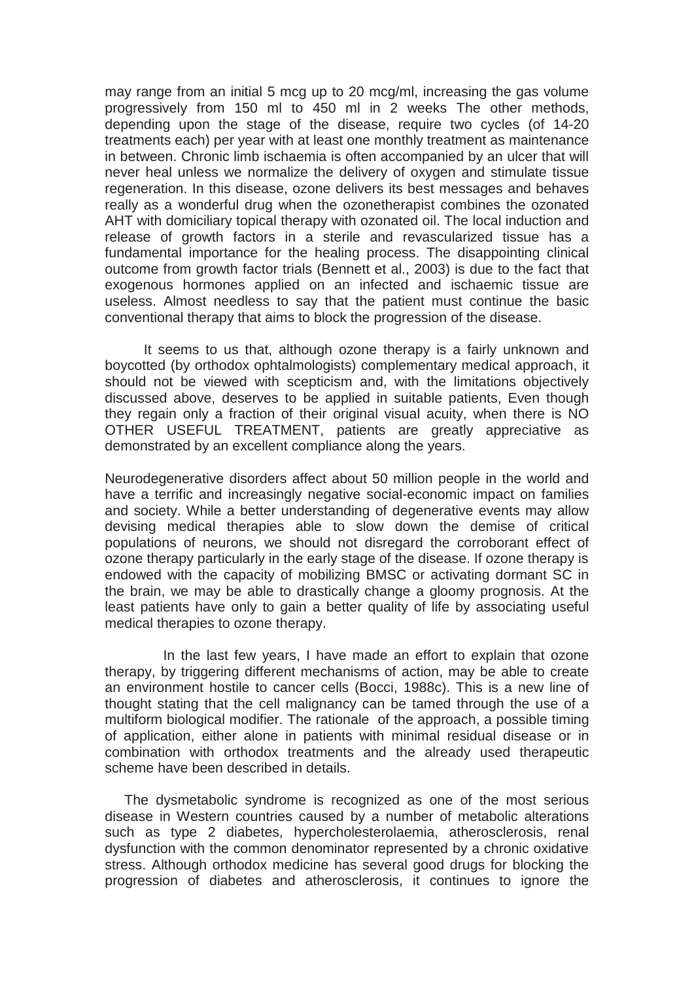may range from an initial 5 mcg up to 20 mcg/ml, increasing the gas volume progressively from 150 ml to 450 ml in 2 weeks The other methods, depending upon the stage of the disease, require two cycles (of 14-20 treatments each) per year with at least one monthly treatment as maintenance in between. Chronic limb ischaemia is often accompanied by an ulcer that will never heal unless we normalize the delivery of oxygen and stimulate tissue regeneration. In this disease, ozone delivers its best messages and behaves really as a wonderful drug when the ozonetherapist combines the ozonated AHT with domiciliary topical therapy with ozonated oil. The local induction and release of growth factors in a sterile and revascularized tissue has a fundamental importance for the healing process. The disappointing clinical outcome from growth factor trials (Bennett et al., 2003) is due to the fact that exogenous hormones applied on an infected and ischaemic tissue are useless. Almost needless to say that the patient must continue the basic conventional therapy that aims to block the progression of the disease.

 It seems to us that, although ozone therapy is a fairly unknown and boycotted (by orthodox ophtalmologists) complementary medical approach, it should not be viewed with scepticism and, with the limitations objectively discussed above, deserves to be applied in suitable patients, Even though they regain only a fraction of their original visual acuity, when there is NO OTHER USEFUL TREATMENT, patients are greatly appreciative as demonstrated by an excellent compliance along the years.

Neurodegenerative disorders affect about 50 million people in the world and have a terrific and increasingly negative social-economic impact on families and society. While a better understanding of degenerative events may allow devising medical therapies able to slow down the demise of critical populations of neurons, we should not disregard the corroborant effect of ozone therapy particularly in the early stage of the disease. If ozone therapy is endowed with the capacity of mobilizing BMSC or activating dormant SC in the brain, we may be able to drastically change a gloomy prognosis. At the least patients have only to gain a better quality of life by associating useful medical therapies to ozone therapy.

 In the last few years, I have made an effort to explain that ozone therapy, by triggering different mechanisms of action, may be able to create an environment hostile to cancer cells (Bocci, 1988c). This is a new line of thought stating that the cell malignancy can be tamed through the use of a multiform biological modifier. The rationale of the approach, a possible timing of application, either alone in patients with minimal residual disease or in combination with orthodox treatments and the already used therapeutic scheme have been described in details.

 The dysmetabolic syndrome is recognized as one of the most serious disease in Western countries caused by a number of metabolic alterations such as type 2 diabetes, hypercholesterolaemia, atherosclerosis, renal dysfunction with the common denominator represented by a chronic oxidative stress. Although orthodox medicine has several good drugs for blocking the progression of diabetes and atherosclerosis, it continues to ignore the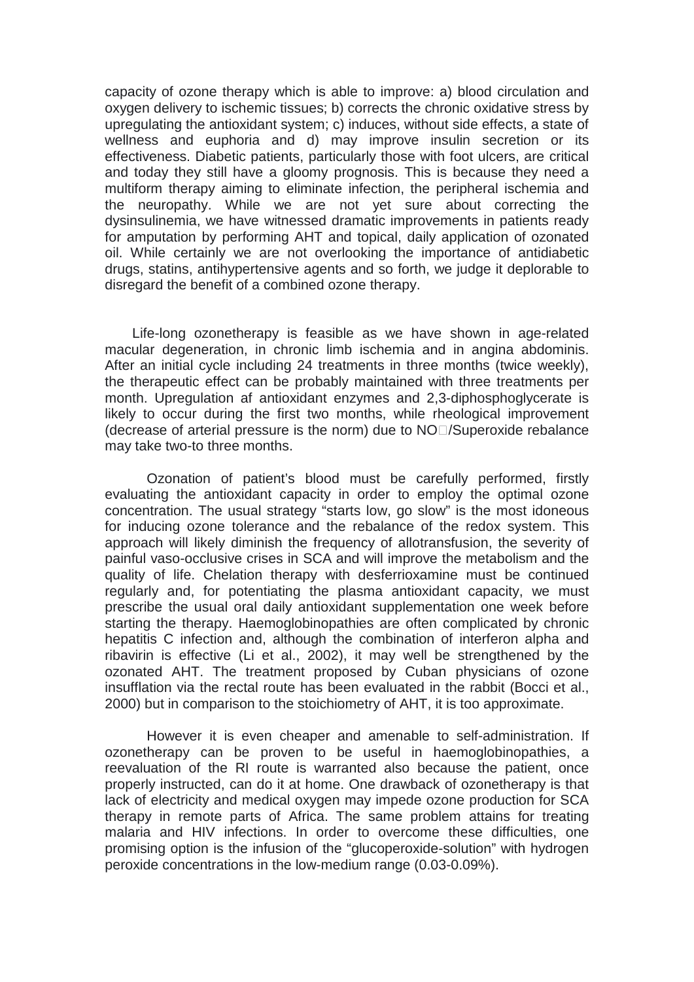capacity of ozone therapy which is able to improve: a) blood circulation and oxygen delivery to ischemic tissues; b) corrects the chronic oxidative stress by upregulating the antioxidant system; c) induces, without side effects, a state of wellness and euphoria and d) may improve insulin secretion or its effectiveness. Diabetic patients, particularly those with foot ulcers, are critical and today they still have a gloomy prognosis. This is because they need a multiform therapy aiming to eliminate infection, the peripheral ischemia and the neuropathy. While we are not yet sure about correcting the dysinsulinemia, we have witnessed dramatic improvements in patients ready for amputation by performing AHT and topical, daily application of ozonated oil. While certainly we are not overlooking the importance of antidiabetic drugs, statins, antihypertensive agents and so forth, we judge it deplorable to disregard the benefit of a combined ozone therapy.

 Life-long ozonetherapy is feasible as we have shown in age-related macular degeneration, in chronic limb ischemia and in angina abdominis. After an initial cycle including 24 treatments in three months (twice weekly), the therapeutic effect can be probably maintained with three treatments per month. Upregulation af antioxidant enzymes and 2,3-diphosphoglycerate is likely to occur during the first two months, while rheological improvement (decrease of arterial pressure is the norm) due to  $NO\square/S$ uperoxide rebalance may take two-to three months.

Ozonation of patient's blood must be carefully performed, firstly evaluating the antioxidant capacity in order to employ the optimal ozone concentration. The usual strategy "starts low, go slow" is the most idoneous for inducing ozone tolerance and the rebalance of the redox system. This approach will likely diminish the frequency of allotransfusion, the severity of painful vaso-occlusive crises in SCA and will improve the metabolism and the quality of life. Chelation therapy with desferrioxamine must be continued regularly and, for potentiating the plasma antioxidant capacity, we must prescribe the usual oral daily antioxidant supplementation one week before starting the therapy. Haemoglobinopathies are often complicated by chronic hepatitis C infection and, although the combination of interferon alpha and ribavirin is effective (Li et al., 2002), it may well be strengthened by the ozonated AHT. The treatment proposed by Cuban physicians of ozone insufflation via the rectal route has been evaluated in the rabbit (Bocci et al., 2000) but in comparison to the stoichiometry of AHT, it is too approximate.

However it is even cheaper and amenable to self-administration. If ozonetherapy can be proven to be useful in haemoglobinopathies, a reevaluation of the RI route is warranted also because the patient, once properly instructed, can do it at home. One drawback of ozonetherapy is that lack of electricity and medical oxygen may impede ozone production for SCA therapy in remote parts of Africa. The same problem attains for treating malaria and HIV infections. In order to overcome these difficulties, one promising option is the infusion of the "glucoperoxide-solution" with hydrogen peroxide concentrations in the low-medium range (0.03-0.09%).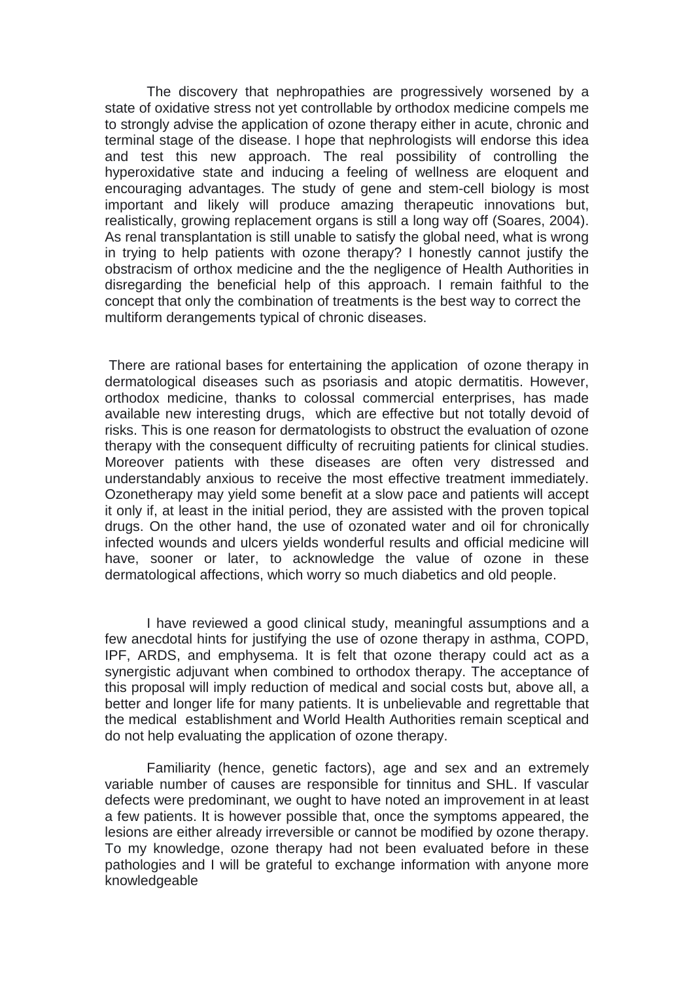The discovery that nephropathies are progressively worsened by a state of oxidative stress not yet controllable by orthodox medicine compels me to strongly advise the application of ozone therapy either in acute, chronic and terminal stage of the disease. I hope that nephrologists will endorse this idea and test this new approach. The real possibility of controlling the hyperoxidative state and inducing a feeling of wellness are eloquent and encouraging advantages. The study of gene and stem-cell biology is most important and likely will produce amazing therapeutic innovations but, realistically, growing replacement organs is still a long way off (Soares, 2004). As renal transplantation is still unable to satisfy the global need, what is wrong in trying to help patients with ozone therapy? I honestly cannot justify the obstracism of orthox medicine and the the negligence of Health Authorities in disregarding the beneficial help of this approach. I remain faithful to the concept that only the combination of treatments is the best way to correct the multiform derangements typical of chronic diseases.

There are rational bases for entertaining the application of ozone therapy in dermatological diseases such as psoriasis and atopic dermatitis. However, orthodox medicine, thanks to colossal commercial enterprises, has made available new interesting drugs, which are effective but not totally devoid of risks. This is one reason for dermatologists to obstruct the evaluation of ozone therapy with the consequent difficulty of recruiting patients for clinical studies. Moreover patients with these diseases are often very distressed and understandably anxious to receive the most effective treatment immediately. Ozonetherapy may yield some benefit at a slow pace and patients will accept it only if, at least in the initial period, they are assisted with the proven topical drugs. On the other hand, the use of ozonated water and oil for chronically infected wounds and ulcers yields wonderful results and official medicine will have, sooner or later, to acknowledge the value of ozone in these dermatological affections, which worry so much diabetics and old people.

I have reviewed a good clinical study, meaningful assumptions and a few anecdotal hints for justifying the use of ozone therapy in asthma, COPD, IPF, ARDS, and emphysema. It is felt that ozone therapy could act as a synergistic adjuvant when combined to orthodox therapy. The acceptance of this proposal will imply reduction of medical and social costs but, above all, a better and longer life for many patients. It is unbelievable and regrettable that the medical establishment and World Health Authorities remain sceptical and do not help evaluating the application of ozone therapy.

Familiarity (hence, genetic factors), age and sex and an extremely variable number of causes are responsible for tinnitus and SHL. If vascular defects were predominant, we ought to have noted an improvement in at least a few patients. It is however possible that, once the symptoms appeared, the lesions are either already irreversible or cannot be modified by ozone therapy. To my knowledge, ozone therapy had not been evaluated before in these pathologies and I will be grateful to exchange information with anyone more knowledgeable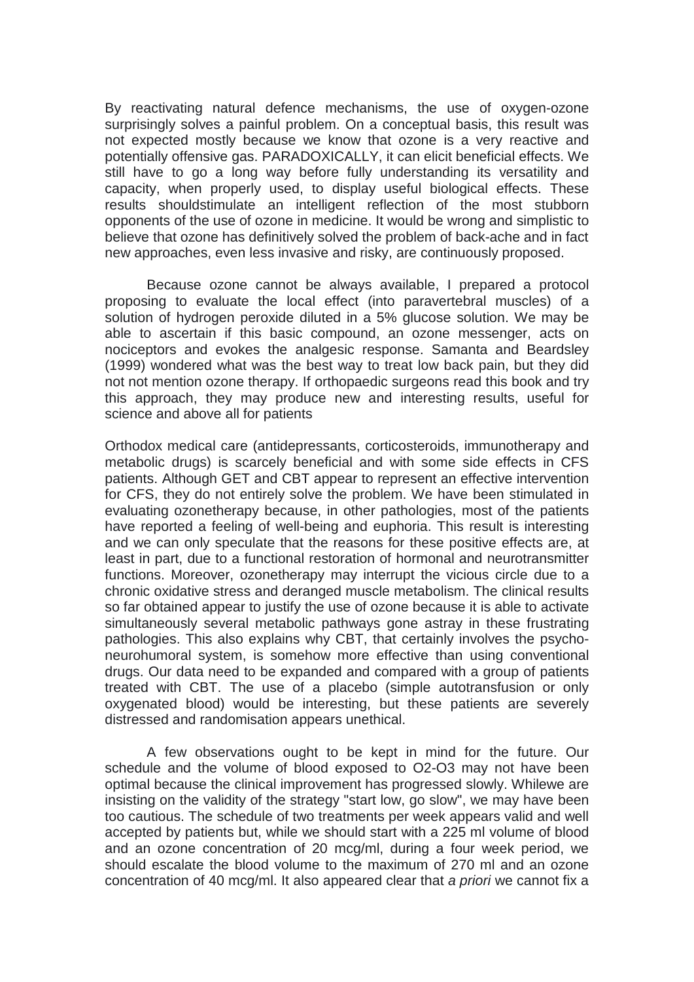By reactivating natural defence mechanisms, the use of oxygen-ozone surprisingly solves a painful problem. On a conceptual basis, this result was not expected mostly because we know that ozone is a very reactive and potentially offensive gas. PARADOXICALLY, it can elicit beneficial effects. We still have to go a long way before fully understanding its versatility and capacity, when properly used, to display useful biological effects. These results shouldstimulate an intelligent reflection of the most stubborn opponents of the use of ozone in medicine. It would be wrong and simplistic to believe that ozone has definitively solved the problem of back-ache and in fact new approaches, even less invasive and risky, are continuously proposed.

Because ozone cannot be always available, I prepared a protocol proposing to evaluate the local effect (into paravertebral muscles) of a solution of hydrogen peroxide diluted in a 5% glucose solution. We may be able to ascertain if this basic compound, an ozone messenger, acts on nociceptors and evokes the analgesic response. Samanta and Beardsley (1999) wondered what was the best way to treat low back pain, but they did not not mention ozone therapy. If orthopaedic surgeons read this book and try this approach, they may produce new and interesting results, useful for science and above all for patients

Orthodox medical care (antidepressants, corticosteroids, immunotherapy and metabolic drugs) is scarcely beneficial and with some side effects in CFS patients. Although GET and CBT appear to represent an effective intervention for CFS, they do not entirely solve the problem. We have been stimulated in evaluating ozonetherapy because, in other pathologies, most of the patients have reported a feeling of well-being and euphoria. This result is interesting and we can only speculate that the reasons for these positive effects are, at least in part, due to a functional restoration of hormonal and neurotransmitter functions. Moreover, ozonetherapy may interrupt the vicious circle due to a chronic oxidative stress and deranged muscle metabolism. The clinical results so far obtained appear to justify the use of ozone because it is able to activate simultaneously several metabolic pathways gone astray in these frustrating pathologies. This also explains why CBT, that certainly involves the psychoneurohumoral system, is somehow more effective than using conventional drugs. Our data need to be expanded and compared with a group of patients treated with CBT. The use of a placebo (simple autotransfusion or only oxygenated blood) would be interesting, but these patients are severely distressed and randomisation appears unethical.

A few observations ought to be kept in mind for the future. Our schedule and the volume of blood exposed to O2-O3 may not have been optimal because the clinical improvement has progressed slowly. Whilewe are insisting on the validity of the strategy "start low, go slow", we may have been too cautious. The schedule of two treatments per week appears valid and well accepted by patients but, while we should start with a 225 ml volume of blood and an ozone concentration of 20 mcg/ml, during a four week period, we should escalate the blood volume to the maximum of 270 ml and an ozone concentration of 40 mcg/ml. It also appeared clear that *a priori* we cannot fix a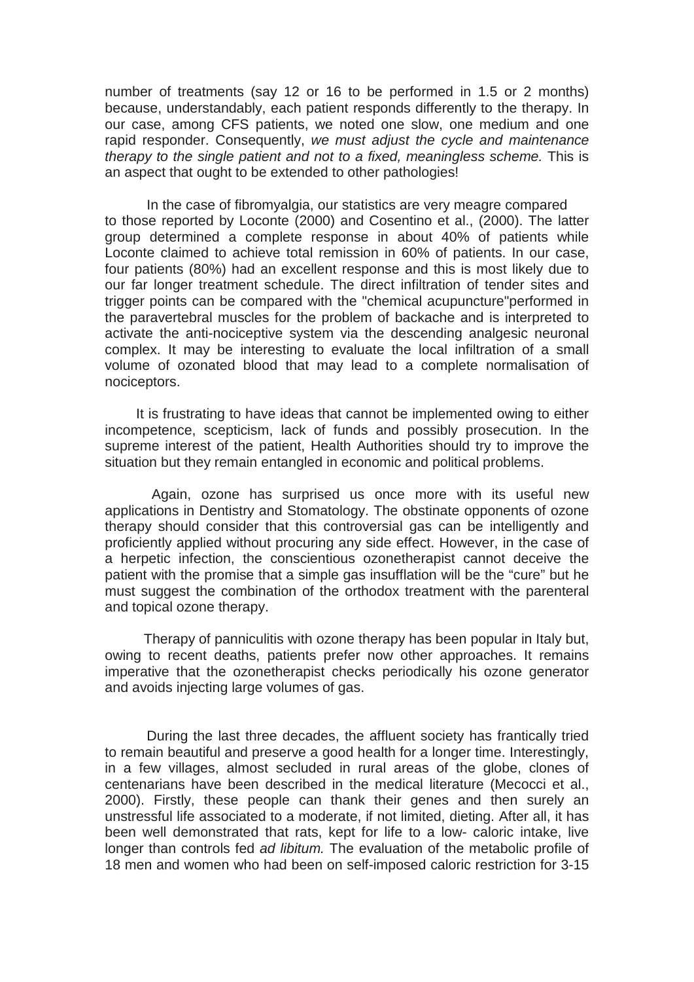number of treatments (say 12 or 16 to be performed in 1.5 or 2 months) because, understandably, each patient responds differently to the therapy. In our case, among CFS patients, we noted one slow, one medium and one rapid responder. Consequently, *we must adjust the cycle and maintenance therapy to the single patient and not to a fixed, meaningless scheme.* This is an aspect that ought to be extended to other pathologies!

In the case of fibromyalgia, our statistics are very meagre compared to those reported by Loconte (2000) and Cosentino et al., (2000). The latter group determined a complete response in about 40% of patients while Loconte claimed to achieve total remission in 60% of patients. In our case, four patients (80%) had an excellent response and this is most likely due to our far longer treatment schedule. The direct infiltration of tender sites and trigger points can be compared with the "chemical acupuncture"performed in the paravertebral muscles for the problem of backache and is interpreted to activate the anti-nociceptive system via the descending analgesic neuronal complex. It may be interesting to evaluate the local infiltration of a small volume of ozonated blood that may lead to a complete normalisation of nociceptors.

 It is frustrating to have ideas that cannot be implemented owing to either incompetence, scepticism, lack of funds and possibly prosecution. In the supreme interest of the patient, Health Authorities should try to improve the situation but they remain entangled in economic and political problems.

 Again, ozone has surprised us once more with its useful new applications in Dentistry and Stomatology. The obstinate opponents of ozone therapy should consider that this controversial gas can be intelligently and proficiently applied without procuring any side effect. However, in the case of a herpetic infection, the conscientious ozonetherapist cannot deceive the patient with the promise that a simple gas insufflation will be the "cure" but he must suggest the combination of the orthodox treatment with the parenteral and topical ozone therapy.

 Therapy of panniculitis with ozone therapy has been popular in Italy but, owing to recent deaths, patients prefer now other approaches. It remains imperative that the ozonetherapist checks periodically his ozone generator and avoids injecting large volumes of gas.

During the last three decades, the affluent society has frantically tried to remain beautiful and preserve a good health for a longer time. Interestingly, in a few villages, almost secluded in rural areas of the globe, clones of centenarians have been described in the medical literature (Mecocci et al., 2000). Firstly, these people can thank their genes and then surely an unstressful life associated to a moderate, if not limited, dieting. After all, it has been well demonstrated that rats, kept for life to a low- caloric intake, live longer than controls fed *ad libitum.* The evaluation of the metabolic profile of 18 men and women who had been on self-imposed caloric restriction for 3-15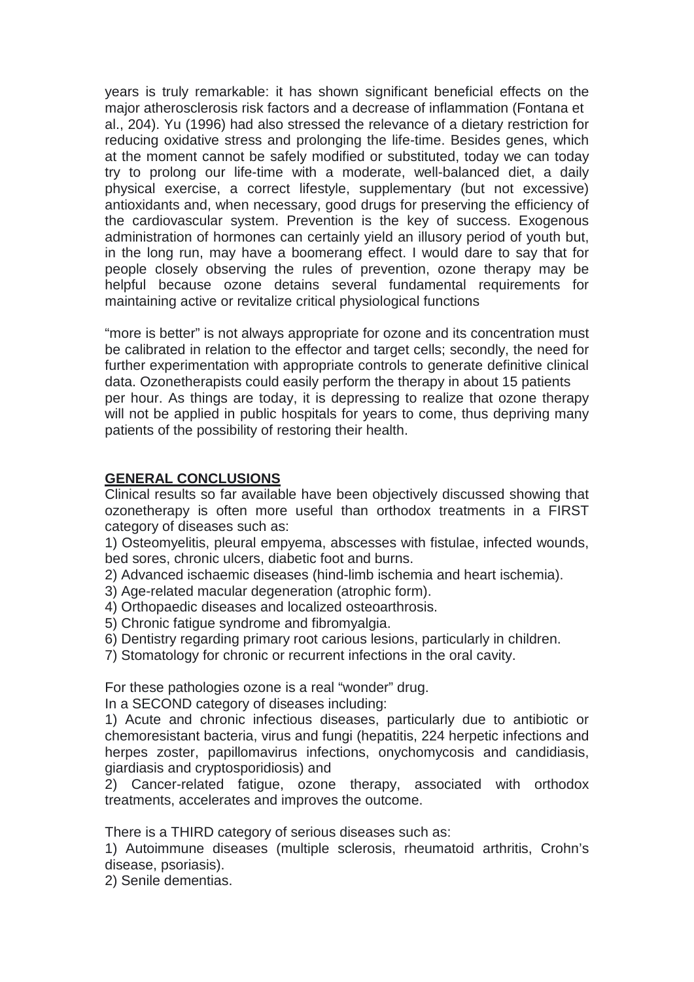years is truly remarkable: it has shown significant beneficial effects on the major atherosclerosis risk factors and a decrease of inflammation (Fontana et al., 204). Yu (1996) had also stressed the relevance of a dietary restriction for reducing oxidative stress and prolonging the life-time. Besides genes, which at the moment cannot be safely modified or substituted, today we can today try to prolong our life-time with a moderate, well-balanced diet, a daily physical exercise, a correct lifestyle, supplementary (but not excessive) antioxidants and, when necessary, good drugs for preserving the efficiency of the cardiovascular system. Prevention is the key of success. Exogenous administration of hormones can certainly yield an illusory period of youth but, in the long run, may have a boomerang effect. I would dare to say that for people closely observing the rules of prevention, ozone therapy may be helpful because ozone detains several fundamental requirements for maintaining active or revitalize critical physiological functions

"more is better" is not always appropriate for ozone and its concentration must be calibrated in relation to the effector and target cells; secondly, the need for further experimentation with appropriate controls to generate definitive clinical data. Ozonetherapists could easily perform the therapy in about 15 patients per hour. As things are today, it is depressing to realize that ozone therapy will not be applied in public hospitals for years to come, thus depriving many patients of the possibility of restoring their health.

# **GENERAL CONCLUSIONS**

Clinical results so far available have been objectively discussed showing that ozonetherapy is often more useful than orthodox treatments in a FIRST category of diseases such as:

1) Osteomyelitis, pleural empyema, abscesses with fistulae, infected wounds, bed sores, chronic ulcers, diabetic foot and burns.

2) Advanced ischaemic diseases (hind-limb ischemia and heart ischemia).

- 3) Age-related macular degeneration (atrophic form).
- 4) Orthopaedic diseases and localized osteoarthrosis.
- 5) Chronic fatigue syndrome and fibromyalgia.
- 6) Dentistry regarding primary root carious lesions, particularly in children.
- 7) Stomatology for chronic or recurrent infections in the oral cavity.

For these pathologies ozone is a real "wonder" drug.

In a SECOND category of diseases including:

1) Acute and chronic infectious diseases, particularly due to antibiotic or chemoresistant bacteria, virus and fungi (hepatitis, 224 herpetic infections and herpes zoster, papillomavirus infections, onychomycosis and candidiasis, giardiasis and cryptosporidiosis) and

2) Cancer-related fatigue, ozone therapy, associated with orthodox treatments, accelerates and improves the outcome.

There is a THIRD category of serious diseases such as:

1) Autoimmune diseases (multiple sclerosis, rheumatoid arthritis, Crohn's disease, psoriasis).

2) Senile dementias.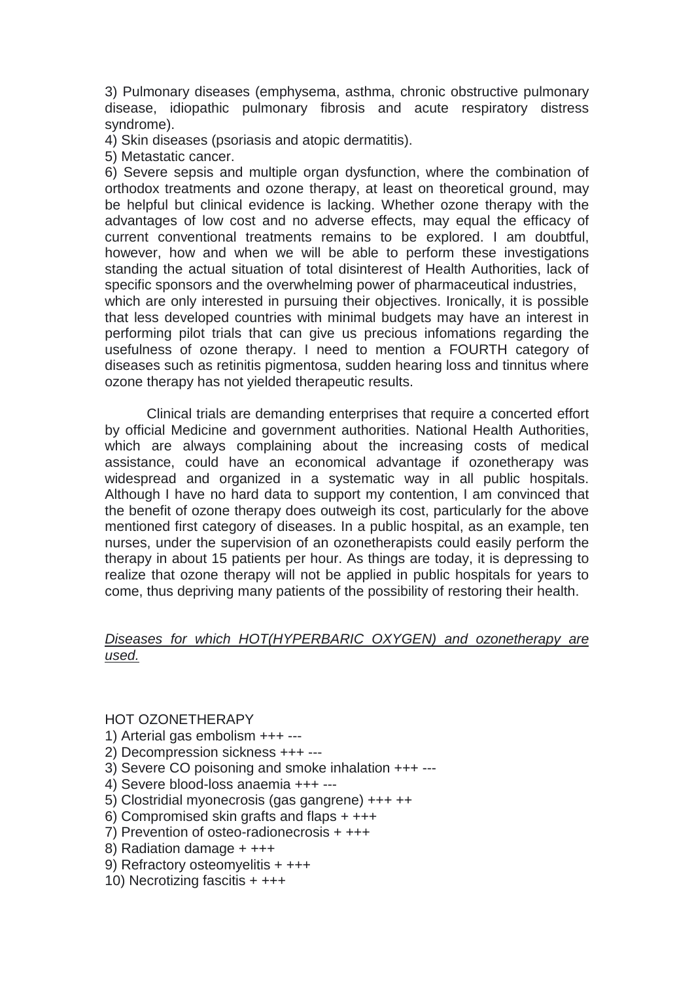3) Pulmonary diseases (emphysema, asthma, chronic obstructive pulmonary disease, idiopathic pulmonary fibrosis and acute respiratory distress syndrome).

4) Skin diseases (psoriasis and atopic dermatitis).

5) Metastatic cancer.

6) Severe sepsis and multiple organ dysfunction, where the combination of orthodox treatments and ozone therapy, at least on theoretical ground, may be helpful but clinical evidence is lacking. Whether ozone therapy with the advantages of low cost and no adverse effects, may equal the efficacy of current conventional treatments remains to be explored. I am doubtful, however, how and when we will be able to perform these investigations standing the actual situation of total disinterest of Health Authorities, lack of specific sponsors and the overwhelming power of pharmaceutical industries, which are only interested in pursuing their objectives. Ironically, it is possible that less developed countries with minimal budgets may have an interest in performing pilot trials that can give us precious infomations regarding the usefulness of ozone therapy. I need to mention a FOURTH category of diseases such as retinitis pigmentosa, sudden hearing loss and tinnitus where ozone therapy has not yielded therapeutic results.

Clinical trials are demanding enterprises that require a concerted effort by official Medicine and government authorities. National Health Authorities, which are always complaining about the increasing costs of medical assistance, could have an economical advantage if ozonetherapy was widespread and organized in a systematic way in all public hospitals. Although I have no hard data to support my contention, I am convinced that the benefit of ozone therapy does outweigh its cost, particularly for the above mentioned first category of diseases. In a public hospital, as an example, ten nurses, under the supervision of an ozonetherapists could easily perform the therapy in about 15 patients per hour. As things are today, it is depressing to realize that ozone therapy will not be applied in public hospitals for years to come, thus depriving many patients of the possibility of restoring their health.

# *Diseases for which HOT(HYPERBARIC OXYGEN) and ozonetherapy are used.*

HOT OZONETHERAPY

- 1) Arterial gas embolism +++ ---
- 2) Decompression sickness +++ ---
- 3) Severe CO poisoning and smoke inhalation +++ ---
- 4) Severe blood-loss anaemia +++ ---
- 5) Clostridial myonecrosis (gas gangrene) +++ ++
- 6) Compromised skin grafts and flaps + +++
- 7) Prevention of osteo-radionecrosis + +++
- 8) Radiation damage + +++
- 9) Refractory osteomyelitis + +++
- 10) Necrotizing fascitis + +++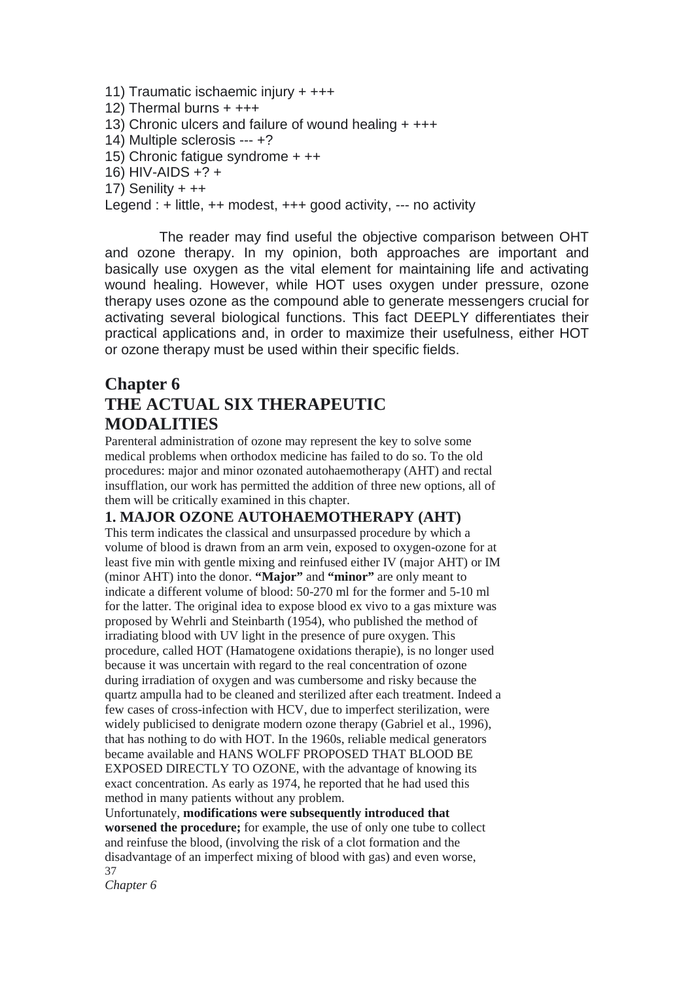- 11) Traumatic ischaemic injury + +++
- 12) Thermal burns + +++
- 13) Chronic ulcers and failure of wound healing + +++
- 14) Multiple sclerosis --- +?
- 15) Chronic fatigue syndrome + ++
- 16) HIV-AIDS +? +
- 17) Senility  $++$

Legend : + little, ++ modest, +++ good activity, --- no activity

 The reader may find useful the objective comparison between OHT and ozone therapy. In my opinion, both approaches are important and basically use oxygen as the vital element for maintaining life and activating wound healing. However, while HOT uses oxygen under pressure, ozone therapy uses ozone as the compound able to generate messengers crucial for activating several biological functions. This fact DEEPLY differentiates their practical applications and, in order to maximize their usefulness, either HOT or ozone therapy must be used within their specific fields.

# **Chapter 6 THE ACTUAL SIX THERAPEUTIC MODALITIES**

Parenteral administration of ozone may represent the key to solve some medical problems when orthodox medicine has failed to do so. To the old procedures: major and minor ozonated autohaemotherapy (AHT) and rectal insufflation, our work has permitted the addition of three new options, all of them will be critically examined in this chapter.

# **1. MAJOR OZONE AUTOHAEMOTHERAPY (AHT)**

This term indicates the classical and unsurpassed procedure by which a volume of blood is drawn from an arm vein, exposed to oxygen-ozone for at least five min with gentle mixing and reinfused either IV (major AHT) or IM (minor AHT) into the donor. **"Major"** and **"minor"** are only meant to indicate a different volume of blood: 50-270 ml for the former and 5-10 ml for the latter. The original idea to expose blood ex vivo to a gas mixture was proposed by Wehrli and Steinbarth (1954), who published the method of irradiating blood with UV light in the presence of pure oxygen. This procedure, called HOT (Hamatogene oxidations therapie), is no longer used because it was uncertain with regard to the real concentration of ozone during irradiation of oxygen and was cumbersome and risky because the quartz ampulla had to be cleaned and sterilized after each treatment. Indeed a few cases of cross-infection with HCV, due to imperfect sterilization, were widely publicised to denigrate modern ozone therapy (Gabriel et al., 1996), that has nothing to do with HOT. In the 1960s, reliable medical generators became available and HANS WOLFF PROPOSED THAT BLOOD BE EXPOSED DIRECTLY TO OZONE, with the advantage of knowing its exact concentration. As early as 1974, he reported that he had used this method in many patients without any problem.

Unfortunately, **modifications were subsequently introduced that worsened the procedure;** for example, the use of only one tube to collect and reinfuse the blood, (involving the risk of a clot formation and the disadvantage of an imperfect mixing of blood with gas) and even worse, 37

*Chapter 6*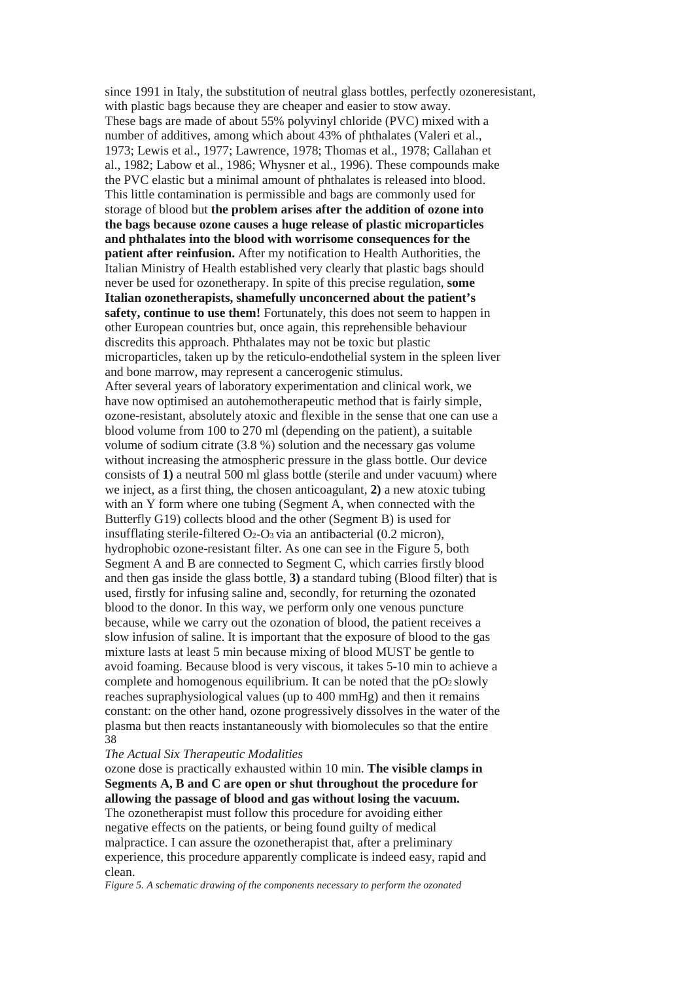since 1991 in Italy, the substitution of neutral glass bottles, perfectly ozoneresistant, with plastic bags because they are cheaper and easier to stow away. These bags are made of about 55% polyvinyl chloride (PVC) mixed with a number of additives, among which about 43% of phthalates (Valeri et al., 1973; Lewis et al., 1977; Lawrence, 1978; Thomas et al., 1978; Callahan et al., 1982; Labow et al., 1986; Whysner et al., 1996). These compounds make the PVC elastic but a minimal amount of phthalates is released into blood. This little contamination is permissible and bags are commonly used for storage of blood but **the problem arises after the addition of ozone into the bags because ozone causes a huge release of plastic microparticles and phthalates into the blood with worrisome consequences for the patient after reinfusion.** After my notification to Health Authorities, the Italian Ministry of Health established very clearly that plastic bags should never be used for ozonetherapy. In spite of this precise regulation, **some Italian ozonetherapists, shamefully unconcerned about the patient's safety, continue to use them!** Fortunately, this does not seem to happen in other European countries but, once again, this reprehensible behaviour discredits this approach. Phthalates may not be toxic but plastic microparticles, taken up by the reticulo-endothelial system in the spleen liver and bone marrow, may represent a cancerogenic stimulus. After several years of laboratory experimentation and clinical work, we have now optimised an autohemotherapeutic method that is fairly simple, ozone-resistant, absolutely atoxic and flexible in the sense that one can use a blood volume from 100 to 270 ml (depending on the patient), a suitable volume of sodium citrate (3.8 %) solution and the necessary gas volume without increasing the atmospheric pressure in the glass bottle. Our device consists of **1)** a neutral 500 ml glass bottle (sterile and under vacuum) where we inject, as a first thing, the chosen anticoagulant, **2)** a new atoxic tubing with an Y form where one tubing (Segment A, when connected with the Butterfly G19) collects blood and the other (Segment B) is used for insufflating sterile-filtered  $O<sub>2</sub>-O<sub>3</sub>$  via an antibacterial (0.2 micron), hydrophobic ozone-resistant filter. As one can see in the Figure 5, both Segment A and B are connected to Segment C, which carries firstly blood and then gas inside the glass bottle, **3)** a standard tubing (Blood filter) that is used, firstly for infusing saline and, secondly, for returning the ozonated blood to the donor. In this way, we perform only one venous puncture because, while we carry out the ozonation of blood, the patient receives a slow infusion of saline. It is important that the exposure of blood to the gas mixture lasts at least 5 min because mixing of blood MUST be gentle to avoid foaming. Because blood is very viscous, it takes 5-10 min to achieve a complete and homogenous equilibrium. It can be noted that the  $pO<sub>2</sub>$  slowly reaches supraphysiological values (up to 400 mmHg) and then it remains constant: on the other hand, ozone progressively dissolves in the water of the plasma but then reacts instantaneously with biomolecules so that the entire 38

### *The Actual Six Therapeutic Modalities*

ozone dose is practically exhausted within 10 min. **The visible clamps in Segments A, B and C are open or shut throughout the procedure for allowing the passage of blood and gas without losing the vacuum.** The ozonetherapist must follow this procedure for avoiding either negative effects on the patients, or being found guilty of medical malpractice. I can assure the ozonetherapist that, after a preliminary experience, this procedure apparently complicate is indeed easy, rapid and clean.

*Figure 5. A schematic drawing of the components necessary to perform the ozonated*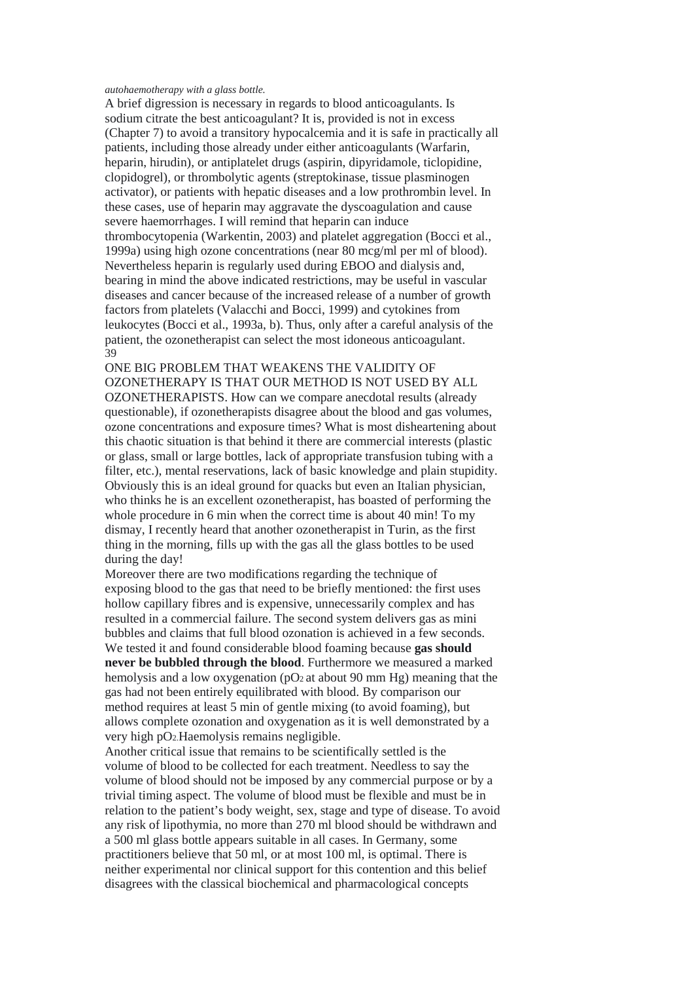#### *autohaemotherapy with a glass bottle.*

A brief digression is necessary in regards to blood anticoagulants. Is sodium citrate the best anticoagulant? It is, provided is not in excess (Chapter 7) to avoid a transitory hypocalcemia and it is safe in practically all patients, including those already under either anticoagulants (Warfarin, heparin, hirudin), or antiplatelet drugs (aspirin, dipyridamole, ticlopidine, clopidogrel), or thrombolytic agents (streptokinase, tissue plasminogen activator), or patients with hepatic diseases and a low prothrombin level. In these cases, use of heparin may aggravate the dyscoagulation and cause severe haemorrhages. I will remind that heparin can induce thrombocytopenia (Warkentin, 2003) and platelet aggregation (Bocci et al., 1999a) using high ozone concentrations (near 80 mcg/ml per ml of blood). Nevertheless heparin is regularly used during EBOO and dialysis and, bearing in mind the above indicated restrictions, may be useful in vascular diseases and cancer because of the increased release of a number of growth factors from platelets (Valacchi and Bocci, 1999) and cytokines from leukocytes (Bocci et al., 1993a, b). Thus, only after a careful analysis of the patient, the ozonetherapist can select the most idoneous anticoagulant. 39

ONE BIG PROBLEM THAT WEAKENS THE VALIDITY OF OZONETHERAPY IS THAT OUR METHOD IS NOT USED BY ALL OZONETHERAPISTS. How can we compare anecdotal results (already questionable), if ozonetherapists disagree about the blood and gas volumes, ozone concentrations and exposure times? What is most disheartening about this chaotic situation is that behind it there are commercial interests (plastic or glass, small or large bottles, lack of appropriate transfusion tubing with a filter, etc.), mental reservations, lack of basic knowledge and plain stupidity. Obviously this is an ideal ground for quacks but even an Italian physician, who thinks he is an excellent ozonetherapist, has boasted of performing the whole procedure in 6 min when the correct time is about 40 min! To my dismay, I recently heard that another ozonetherapist in Turin, as the first thing in the morning, fills up with the gas all the glass bottles to be used during the day!

Moreover there are two modifications regarding the technique of exposing blood to the gas that need to be briefly mentioned: the first uses hollow capillary fibres and is expensive, unnecessarily complex and has resulted in a commercial failure. The second system delivers gas as mini bubbles and claims that full blood ozonation is achieved in a few seconds. We tested it and found considerable blood foaming because **gas should never be bubbled through the blood**. Furthermore we measured a marked hemolysis and a low oxygenation ( $pO<sub>2</sub>$  at about 90 mm Hg) meaning that the gas had not been entirely equilibrated with blood. By comparison our method requires at least 5 min of gentle mixing (to avoid foaming), but allows complete ozonation and oxygenation as it is well demonstrated by a very high pO2.Haemolysis remains negligible.

Another critical issue that remains to be scientifically settled is the volume of blood to be collected for each treatment. Needless to say the volume of blood should not be imposed by any commercial purpose or by a trivial timing aspect. The volume of blood must be flexible and must be in relation to the patient's body weight, sex, stage and type of disease. To avoid any risk of lipothymia, no more than 270 ml blood should be withdrawn and a 500 ml glass bottle appears suitable in all cases. In Germany, some practitioners believe that 50 ml, or at most 100 ml, is optimal. There is neither experimental nor clinical support for this contention and this belief disagrees with the classical biochemical and pharmacological concepts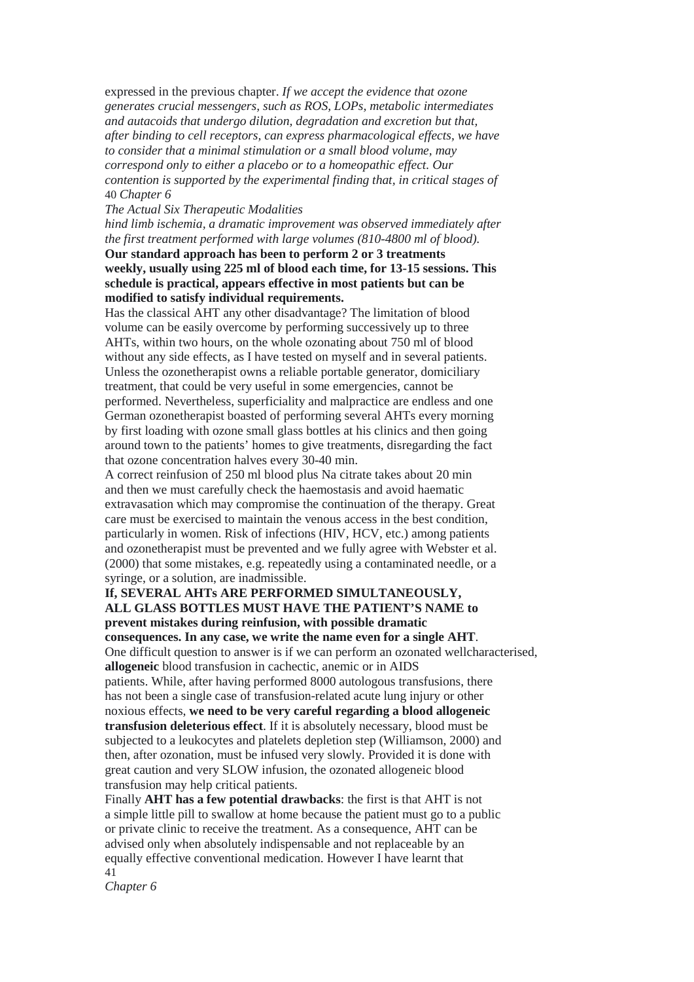expressed in the previous chapter. *If we accept the evidence that ozone generates crucial messengers, such as ROS, LOPs, metabolic intermediates and autacoids that undergo dilution, degradation and excretion but that, after binding to cell receptors, can express pharmacological effects, we have to consider that a minimal stimulation or a small blood volume, may correspond only to either a placebo or to a homeopathic effect. Our contention is supported by the experimental finding that, in critical stages of* 40 *Chapter 6*

### *The Actual Six Therapeutic Modalities*

*hind limb ischemia, a dramatic improvement was observed immediately after the first treatment performed with large volumes (810-4800 ml of blood).*

### **Our standard approach has been to perform 2 or 3 treatments weekly, usually using 225 ml of blood each time, for 13-15 sessions. This schedule is practical, appears effective in most patients but can be modified to satisfy individual requirements.**

Has the classical AHT any other disadvantage? The limitation of blood volume can be easily overcome by performing successively up to three AHTs, within two hours, on the whole ozonating about 750 ml of blood without any side effects, as I have tested on myself and in several patients. Unless the ozonetherapist owns a reliable portable generator, domiciliary treatment, that could be very useful in some emergencies, cannot be performed. Nevertheless, superficiality and malpractice are endless and one German ozonetherapist boasted of performing several AHTs every morning by first loading with ozone small glass bottles at his clinics and then going around town to the patients' homes to give treatments, disregarding the fact that ozone concentration halves every 30-40 min.

A correct reinfusion of 250 ml blood plus Na citrate takes about 20 min and then we must carefully check the haemostasis and avoid haematic extravasation which may compromise the continuation of the therapy. Great care must be exercised to maintain the venous access in the best condition, particularly in women. Risk of infections (HIV, HCV, etc.) among patients and ozonetherapist must be prevented and we fully agree with Webster et al. (2000) that some mistakes, e.g. repeatedly using a contaminated needle, or a syringe, or a solution, are inadmissible.

## **If, SEVERAL AHTs ARE PERFORMED SIMULTANEOUSLY, ALL GLASS BOTTLES MUST HAVE THE PATIENT'S NAME to**

**prevent mistakes during reinfusion, with possible dramatic consequences. In any case, we write the name even for a single AHT**. One difficult question to answer is if we can perform an ozonated wellcharacterised, **allogeneic** blood transfusion in cachectic, anemic or in AIDS patients. While, after having performed 8000 autologous transfusions, there

has not been a single case of transfusion-related acute lung injury or other noxious effects, **we need to be very careful regarding a blood allogeneic transfusion deleterious effect**. If it is absolutely necessary, blood must be subjected to a leukocytes and platelets depletion step (Williamson, 2000) and then, after ozonation, must be infused very slowly. Provided it is done with great caution and very SLOW infusion, the ozonated allogeneic blood transfusion may help critical patients.

Finally **AHT has a few potential drawbacks**: the first is that AHT is not a simple little pill to swallow at home because the patient must go to a public or private clinic to receive the treatment. As a consequence, AHT can be advised only when absolutely indispensable and not replaceable by an equally effective conventional medication. However I have learnt that 41

*Chapter 6*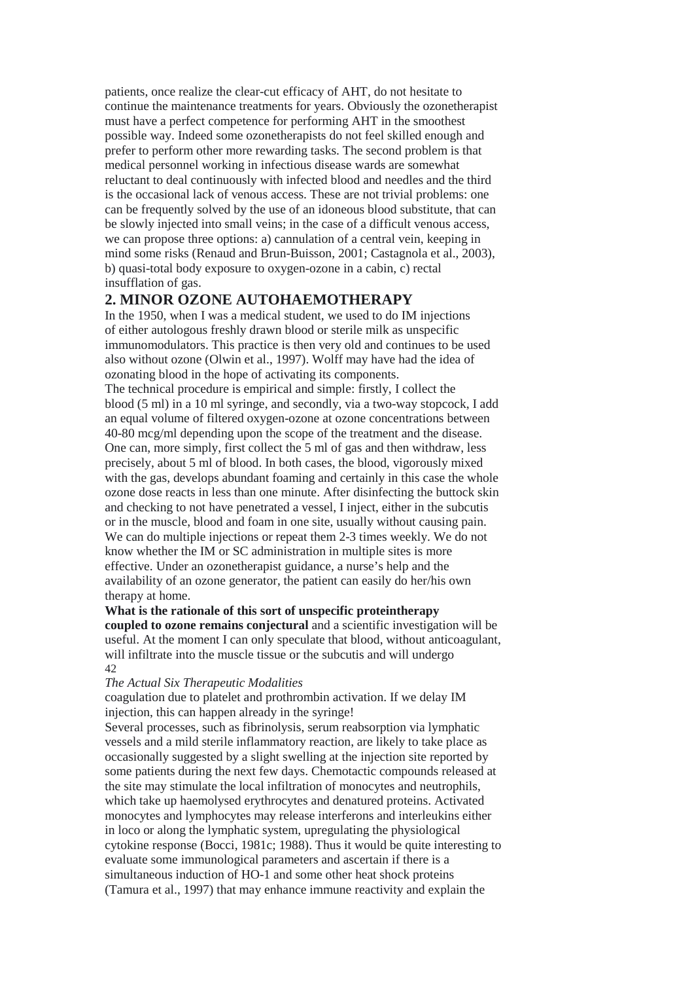patients, once realize the clear-cut efficacy of AHT, do not hesitate to continue the maintenance treatments for years. Obviously the ozonetherapist must have a perfect competence for performing AHT in the smoothest possible way. Indeed some ozonetherapists do not feel skilled enough and prefer to perform other more rewarding tasks. The second problem is that medical personnel working in infectious disease wards are somewhat reluctant to deal continuously with infected blood and needles and the third is the occasional lack of venous access. These are not trivial problems: one can be frequently solved by the use of an idoneous blood substitute, that can be slowly injected into small veins; in the case of a difficult venous access, we can propose three options: a) cannulation of a central vein, keeping in mind some risks (Renaud and Brun-Buisson, 2001; Castagnola et al., 2003), b) quasi-total body exposure to oxygen-ozone in a cabin, c) rectal insufflation of gas.

### **2. MINOR OZONE AUTOHAEMOTHERAPY**

In the 1950, when I was a medical student, we used to do IM injections of either autologous freshly drawn blood or sterile milk as unspecific immunomodulators. This practice is then very old and continues to be used also without ozone (Olwin et al., 1997). Wolff may have had the idea of ozonating blood in the hope of activating its components.

The technical procedure is empirical and simple: firstly, I collect the blood (5 ml) in a 10 ml syringe, and secondly, via a two-way stopcock, I add an equal volume of filtered oxygen-ozone at ozone concentrations between 40-80 mcg/ml depending upon the scope of the treatment and the disease. One can, more simply, first collect the 5 ml of gas and then withdraw, less precisely, about 5 ml of blood. In both cases, the blood, vigorously mixed with the gas, develops abundant foaming and certainly in this case the whole ozone dose reacts in less than one minute. After disinfecting the buttock skin and checking to not have penetrated a vessel, I inject, either in the subcutis or in the muscle, blood and foam in one site, usually without causing pain. We can do multiple injections or repeat them 2-3 times weekly. We do not know whether the IM or SC administration in multiple sites is more effective. Under an ozonetherapist guidance, a nurse's help and the availability of an ozone generator, the patient can easily do her/his own therapy at home.

**What is the rationale of this sort of unspecific proteintherapy coupled to ozone remains conjectural** and a scientific investigation will be useful. At the moment I can only speculate that blood, without anticoagulant, will infiltrate into the muscle tissue or the subcutis and will undergo 42

### *The Actual Six Therapeutic Modalities*

coagulation due to platelet and prothrombin activation. If we delay IM injection, this can happen already in the syringe!

Several processes, such as fibrinolysis, serum reabsorption via lymphatic vessels and a mild sterile inflammatory reaction, are likely to take place as occasionally suggested by a slight swelling at the injection site reported by some patients during the next few days. Chemotactic compounds released at the site may stimulate the local infiltration of monocytes and neutrophils, which take up haemolysed erythrocytes and denatured proteins. Activated monocytes and lymphocytes may release interferons and interleukins either in loco or along the lymphatic system, upregulating the physiological cytokine response (Bocci, 1981c; 1988). Thus it would be quite interesting to evaluate some immunological parameters and ascertain if there is a simultaneous induction of HO-1 and some other heat shock proteins (Tamura et al., 1997) that may enhance immune reactivity and explain the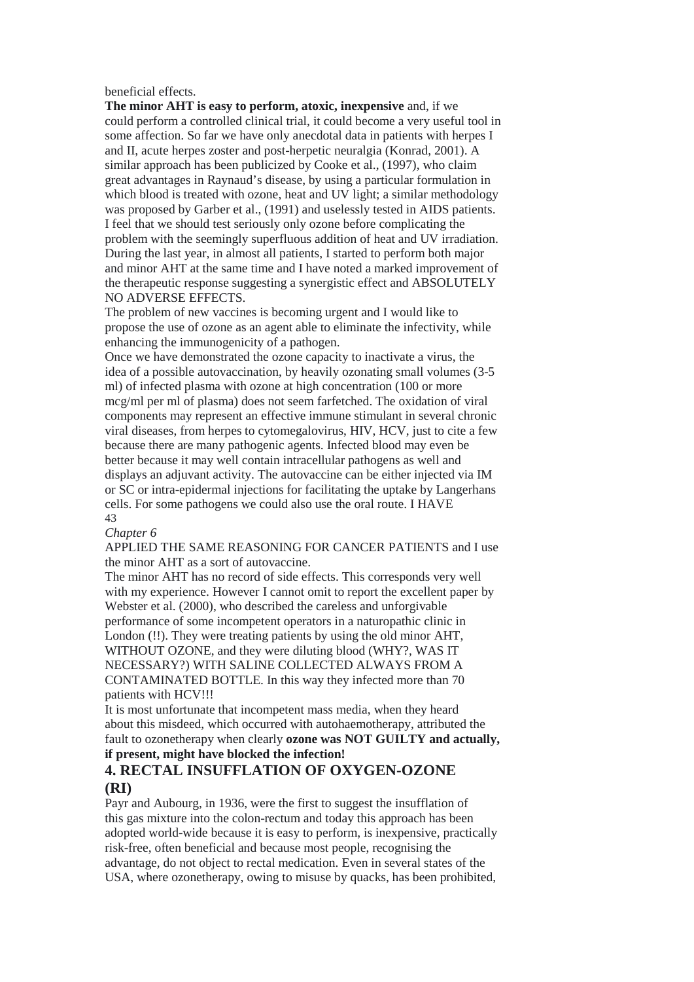beneficial effects.

**The minor AHT is easy to perform, atoxic, inexpensive** and, if we could perform a controlled clinical trial, it could become a very useful tool in some affection. So far we have only anecdotal data in patients with herpes I and II, acute herpes zoster and post-herpetic neuralgia (Konrad, 2001). A similar approach has been publicized by Cooke et al., (1997), who claim great advantages in Raynaud's disease, by using a particular formulation in which blood is treated with ozone, heat and UV light; a similar methodology was proposed by Garber et al., (1991) and uselessly tested in AIDS patients. I feel that we should test seriously only ozone before complicating the problem with the seemingly superfluous addition of heat and UV irradiation. During the last year, in almost all patients, I started to perform both major and minor AHT at the same time and I have noted a marked improvement of the therapeutic response suggesting a synergistic effect and ABSOLUTELY NO ADVERSE EFFECTS.

The problem of new vaccines is becoming urgent and I would like to propose the use of ozone as an agent able to eliminate the infectivity, while enhancing the immunogenicity of a pathogen.

Once we have demonstrated the ozone capacity to inactivate a virus, the idea of a possible autovaccination, by heavily ozonating small volumes (3-5 ml) of infected plasma with ozone at high concentration (100 or more mcg/ml per ml of plasma) does not seem farfetched. The oxidation of viral components may represent an effective immune stimulant in several chronic viral diseases, from herpes to cytomegalovirus, HIV, HCV, just to cite a few because there are many pathogenic agents. Infected blood may even be better because it may well contain intracellular pathogens as well and displays an adjuvant activity. The autovaccine can be either injected via IM or SC or intra-epidermal injections for facilitating the uptake by Langerhans cells. For some pathogens we could also use the oral route. I HAVE 43

### *Chapter 6*

APPLIED THE SAME REASONING FOR CANCER PATIENTS and I use the minor AHT as a sort of autovaccine.

The minor AHT has no record of side effects. This corresponds very well with my experience. However I cannot omit to report the excellent paper by Webster et al. (2000), who described the careless and unforgivable performance of some incompetent operators in a naturopathic clinic in London (!!). They were treating patients by using the old minor AHT, WITHOUT OZONE, and they were diluting blood (WHY?, WAS IT NECESSARY?) WITH SALINE COLLECTED ALWAYS FROM A CONTAMINATED BOTTLE. In this way they infected more than 70 patients with HCV!!!

It is most unfortunate that incompetent mass media, when they heard about this misdeed, which occurred with autohaemotherapy, attributed the fault to ozonetherapy when clearly **ozone was NOT GUILTY and actually, if present, might have blocked the infection!**

# **4. RECTAL INSUFFLATION OF OXYGEN-OZONE (RI)**

Payr and Aubourg, in 1936, were the first to suggest the insufflation of this gas mixture into the colon-rectum and today this approach has been adopted world-wide because it is easy to perform, is inexpensive, practically risk-free, often beneficial and because most people, recognising the advantage, do not object to rectal medication. Even in several states of the USA, where ozonetherapy, owing to misuse by quacks, has been prohibited,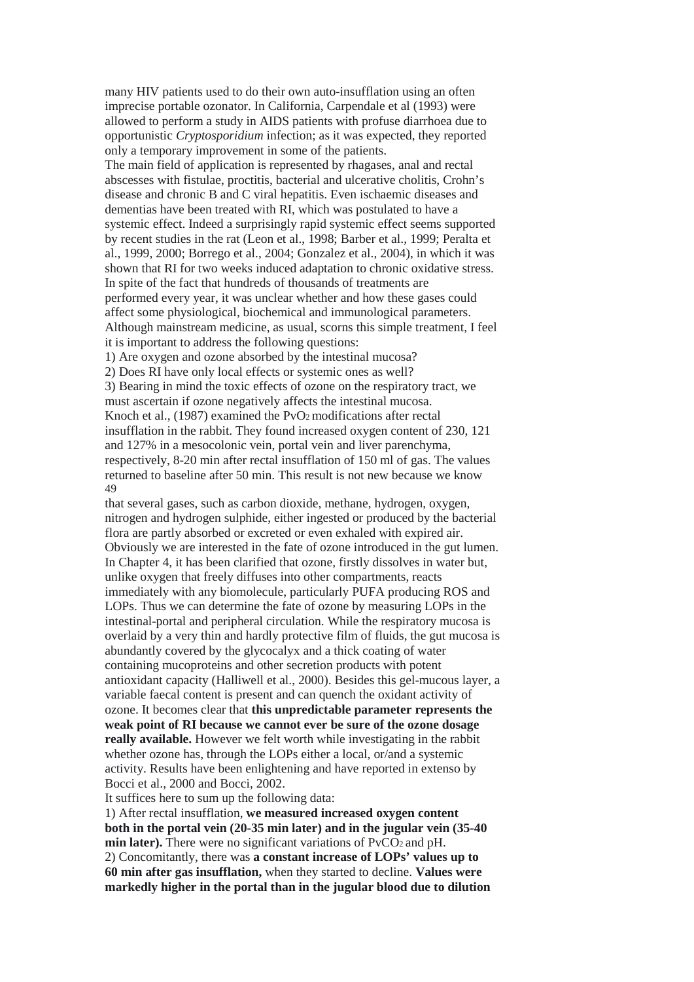many HIV patients used to do their own auto-insufflation using an often imprecise portable ozonator. In California, Carpendale et al (1993) were allowed to perform a study in AIDS patients with profuse diarrhoea due to opportunistic *Cryptosporidium* infection; as it was expected, they reported only a temporary improvement in some of the patients.

The main field of application is represented by rhagases, anal and rectal abscesses with fistulae, proctitis, bacterial and ulcerative cholitis, Crohn's disease and chronic B and C viral hepatitis. Even ischaemic diseases and dementias have been treated with RI, which was postulated to have a systemic effect. Indeed a surprisingly rapid systemic effect seems supported by recent studies in the rat (Leon et al., 1998; Barber et al., 1999; Peralta et al., 1999, 2000; Borrego et al., 2004; Gonzalez et al., 2004), in which it was shown that RI for two weeks induced adaptation to chronic oxidative stress. In spite of the fact that hundreds of thousands of treatments are performed every year, it was unclear whether and how these gases could affect some physiological, biochemical and immunological parameters. Although mainstream medicine, as usual, scorns this simple treatment, I feel it is important to address the following questions:

1) Are oxygen and ozone absorbed by the intestinal mucosa?

2) Does RI have only local effects or systemic ones as well?

3) Bearing in mind the toxic effects of ozone on the respiratory tract, we must ascertain if ozone negatively affects the intestinal mucosa. Knoch et al., (1987) examined the PvO2 modifications after rectal insufflation in the rabbit. They found increased oxygen content of 230, 121 and 127% in a mesocolonic vein, portal vein and liver parenchyma, respectively, 8-20 min after rectal insufflation of 150 ml of gas. The values returned to baseline after 50 min. This result is not new because we know 49

that several gases, such as carbon dioxide, methane, hydrogen, oxygen, nitrogen and hydrogen sulphide, either ingested or produced by the bacterial flora are partly absorbed or excreted or even exhaled with expired air. Obviously we are interested in the fate of ozone introduced in the gut lumen. In Chapter 4, it has been clarified that ozone, firstly dissolves in water but, unlike oxygen that freely diffuses into other compartments, reacts immediately with any biomolecule, particularly PUFA producing ROS and LOPs. Thus we can determine the fate of ozone by measuring LOPs in the intestinal-portal and peripheral circulation. While the respiratory mucosa is overlaid by a very thin and hardly protective film of fluids, the gut mucosa is abundantly covered by the glycocalyx and a thick coating of water containing mucoproteins and other secretion products with potent antioxidant capacity (Halliwell et al., 2000). Besides this gel-mucous layer, a variable faecal content is present and can quench the oxidant activity of ozone. It becomes clear that **this unpredictable parameter represents the weak point of RI because we cannot ever be sure of the ozone dosage really available.** However we felt worth while investigating in the rabbit whether ozone has, through the LOPs either a local, or/and a systemic activity. Results have been enlightening and have reported in extenso by Bocci et al., 2000 and Bocci, 2002.

It suffices here to sum up the following data:

1) After rectal insufflation, **we measured increased oxygen content both in the portal vein (20-35 min later) and in the jugular vein (35-40 min later).** There were no significant variations of PvCO<sub>2</sub> and pH. 2) Concomitantly, there was **a constant increase of LOPs' values up to 60 min after gas insufflation,** when they started to decline. **Values were markedly higher in the portal than in the jugular blood due to dilution**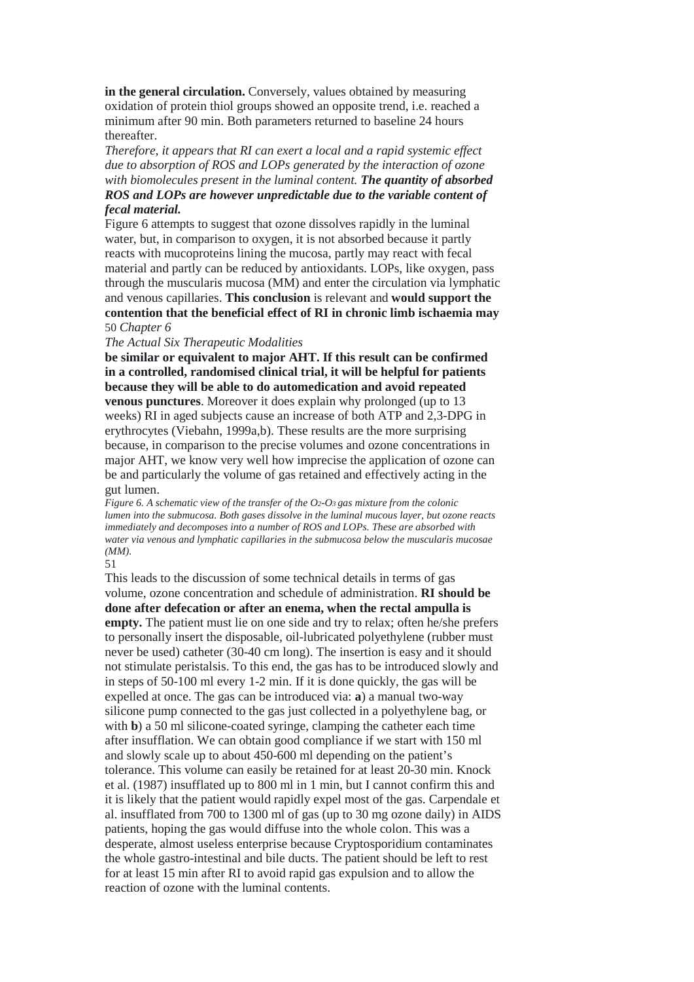**in the general circulation.** Conversely, values obtained by measuring oxidation of protein thiol groups showed an opposite trend, i.e. reached a minimum after 90 min. Both parameters returned to baseline 24 hours thereafter.

*Therefore, it appears that RI can exert a local and a rapid systemic effect due to absorption of ROS and LOPs generated by the interaction of ozone with biomolecules present in the luminal content. The quantity of absorbed ROS and LOPs are however unpredictable due to the variable content of*

### *fecal material.*

Figure 6 attempts to suggest that ozone dissolves rapidly in the luminal water, but, in comparison to oxygen, it is not absorbed because it partly reacts with mucoproteins lining the mucosa, partly may react with fecal material and partly can be reduced by antioxidants. LOPs, like oxygen, pass through the muscularis mucosa (MM) and enter the circulation via lymphatic and venous capillaries. **This conclusion** is relevant and **would support the contention that the beneficial effect of RI in chronic limb ischaemia may** 50 *Chapter 6*

### *The Actual Six Therapeutic Modalities*

**be similar or equivalent to major AHT. If this result can be confirmed in a controlled, randomised clinical trial, it will be helpful for patients because they will be able to do automedication and avoid repeated venous punctures**. Moreover it does explain why prolonged (up to 13 weeks) RI in aged subjects cause an increase of both ATP and 2,3-DPG in erythrocytes (Viebahn, 1999a,b). These results are the more surprising because, in comparison to the precise volumes and ozone concentrations in major AHT, we know very well how imprecise the application of ozone can be and particularly the volume of gas retained and effectively acting in the gut lumen.

*Figure 6. A schematic view of the transfer of the O2-O3 gas mixture from the colonic lumen into the submucosa. Both gases dissolve in the luminal mucous layer, but ozone reacts immediately and decomposes into a number of ROS and LOPs. These are absorbed with water via venous and lymphatic capillaries in the submucosa below the muscularis mucosae (MM).*

51

This leads to the discussion of some technical details in terms of gas volume, ozone concentration and schedule of administration. **RI should be done after defecation or after an enema, when the rectal ampulla is empty.** The patient must lie on one side and try to relax; often he/she prefers to personally insert the disposable, oil-lubricated polyethylene (rubber must never be used) catheter (30-40 cm long). The insertion is easy and it should not stimulate peristalsis. To this end, the gas has to be introduced slowly and in steps of 50-100 ml every 1-2 min. If it is done quickly, the gas will be expelled at once. The gas can be introduced via: **a**) a manual two-way silicone pump connected to the gas just collected in a polyethylene bag, or with **b**) a 50 ml silicone-coated syringe, clamping the catheter each time after insufflation. We can obtain good compliance if we start with 150 ml and slowly scale up to about 450-600 ml depending on the patient's tolerance. This volume can easily be retained for at least 20-30 min. Knock et al. (1987) insufflated up to 800 ml in 1 min, but I cannot confirm this and it is likely that the patient would rapidly expel most of the gas. Carpendale et al. insufflated from 700 to 1300 ml of gas (up to 30 mg ozone daily) in AIDS patients, hoping the gas would diffuse into the whole colon. This was a desperate, almost useless enterprise because Cryptosporidium contaminates the whole gastro-intestinal and bile ducts. The patient should be left to rest for at least 15 min after RI to avoid rapid gas expulsion and to allow the reaction of ozone with the luminal contents.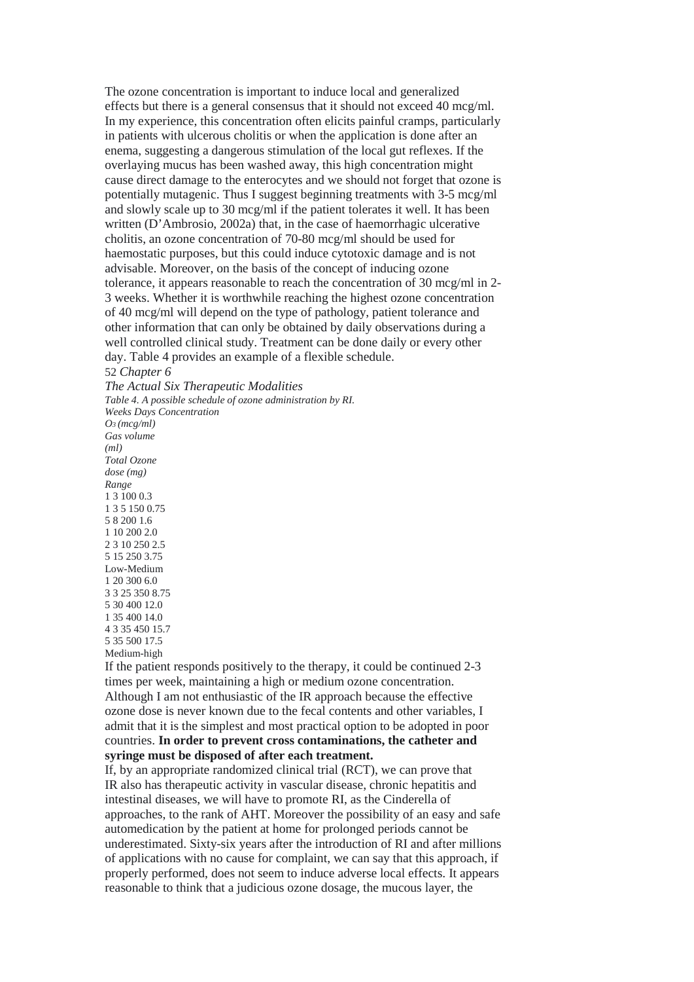The ozone concentration is important to induce local and generalized effects but there is a general consensus that it should not exceed 40 mcg/ml. In my experience, this concentration often elicits painful cramps, particularly in patients with ulcerous cholitis or when the application is done after an enema, suggesting a dangerous stimulation of the local gut reflexes. If the overlaying mucus has been washed away, this high concentration might cause direct damage to the enterocytes and we should not forget that ozone is potentially mutagenic. Thus I suggest beginning treatments with 3-5 mcg/ml and slowly scale up to 30 mcg/ml if the patient tolerates it well. It has been written (D'Ambrosio, 2002a) that, in the case of haemorrhagic ulcerative cholitis, an ozone concentration of 70-80 mcg/ml should be used for haemostatic purposes, but this could induce cytotoxic damage and is not advisable. Moreover, on the basis of the concept of inducing ozone tolerance, it appears reasonable to reach the concentration of 30 mcg/ml in 2- 3 weeks. Whether it is worthwhile reaching the highest ozone concentration of 40 mcg/ml will depend on the type of pathology, patient tolerance and other information that can only be obtained by daily observations during a well controlled clinical study. Treatment can be done daily or every other day. Table 4 provides an example of a flexible schedule.

52 *Chapter 6*

*The Actual Six Therapeutic Modalities*

*Table 4. A possible schedule of ozone administration by RI. Weeks Days Concentration O3 (mcg/ml) Gas volume (ml)*

Medium-high

If the patient responds positively to the therapy, it could be continued 2-3 times per week, maintaining a high or medium ozone concentration. Although I am not enthusiastic of the IR approach because the effective ozone dose is never known due to the fecal contents and other variables, I admit that it is the simplest and most practical option to be adopted in poor countries. **In order to prevent cross contaminations, the catheter and syringe must be disposed of after each treatment.**

If, by an appropriate randomized clinical trial (RCT), we can prove that IR also has therapeutic activity in vascular disease, chronic hepatitis and intestinal diseases, we will have to promote RI, as the Cinderella of approaches, to the rank of AHT. Moreover the possibility of an easy and safe automedication by the patient at home for prolonged periods cannot be underestimated. Sixty-six years after the introduction of RI and after millions of applications with no cause for complaint, we can say that this approach, if properly performed, does not seem to induce adverse local effects. It appears reasonable to think that a judicious ozone dosage, the mucous layer, the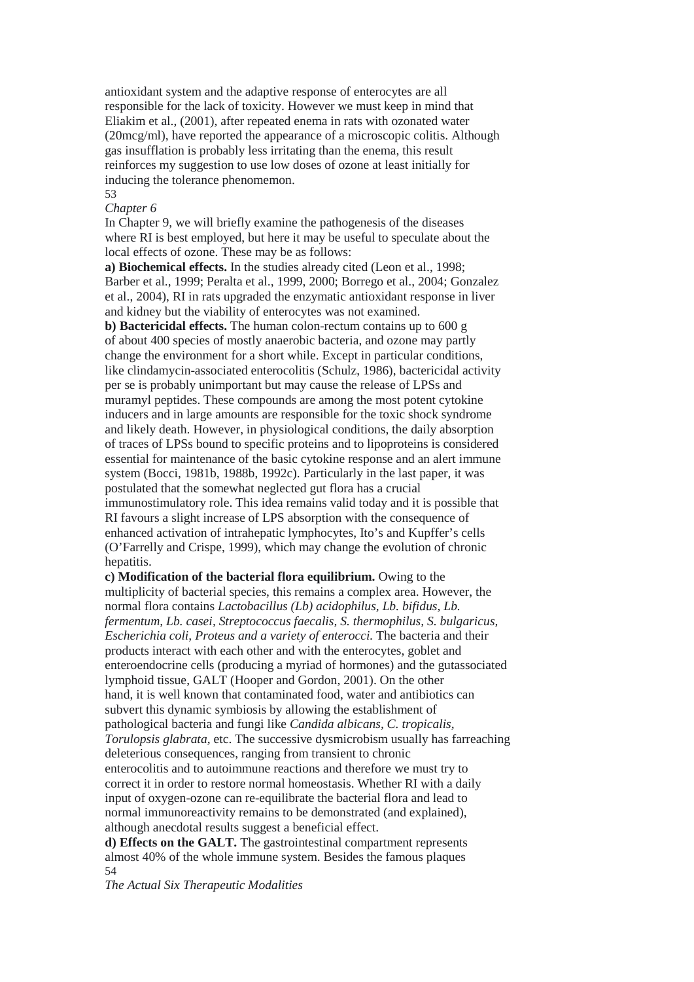antioxidant system and the adaptive response of enterocytes are all responsible for the lack of toxicity. However we must keep in mind that Eliakim et al., (2001), after repeated enema in rats with ozonated water (20mcg/ml), have reported the appearance of a microscopic colitis. Although gas insufflation is probably less irritating than the enema, this result reinforces my suggestion to use low doses of ozone at least initially for inducing the tolerance phenomemon.

### 53

#### *Chapter 6*

In Chapter 9, we will briefly examine the pathogenesis of the diseases where RI is best employed, but here it may be useful to speculate about the local effects of ozone. These may be as follows:

**a) Biochemical effects.** In the studies already cited (Leon et al., 1998; Barber et al., 1999; Peralta et al., 1999, 2000; Borrego et al., 2004; Gonzalez et al., 2004), RI in rats upgraded the enzymatic antioxidant response in liver and kidney but the viability of enterocytes was not examined.

**b) Bactericidal effects.** The human colon-rectum contains up to 600 g of about 400 species of mostly anaerobic bacteria, and ozone may partly change the environment for a short while. Except in particular conditions, like clindamycin-associated enterocolitis (Schulz, 1986), bactericidal activity per se is probably unimportant but may cause the release of LPSs and muramyl peptides. These compounds are among the most potent cytokine inducers and in large amounts are responsible for the toxic shock syndrome and likely death. However, in physiological conditions, the daily absorption of traces of LPSs bound to specific proteins and to lipoproteins is considered essential for maintenance of the basic cytokine response and an alert immune system (Bocci, 1981b, 1988b, 1992c). Particularly in the last paper, it was postulated that the somewhat neglected gut flora has a crucial immunostimulatory role. This idea remains valid today and it is possible that RI favours a slight increase of LPS absorption with the consequence of enhanced activation of intrahepatic lymphocytes, Ito's and Kupffer's cells (O'Farrelly and Crispe, 1999), which may change the evolution of chronic hepatitis.

**c) Modification of the bacterial flora equilibrium.** Owing to the multiplicity of bacterial species, this remains a complex area. However, the normal flora contains *Lactobacillus (Lb) acidophilus, Lb. bifidus, Lb. fermentum, Lb. casei, Streptococcus faecalis, S. thermophilus, S. bulgaricus, Escherichia coli, Proteus and a variety of enterocci.* The bacteria and their products interact with each other and with the enterocytes, goblet and enteroendocrine cells (producing a myriad of hormones) and the gutassociated lymphoid tissue, GALT (Hooper and Gordon, 2001). On the other hand, it is well known that contaminated food, water and antibiotics can subvert this dynamic symbiosis by allowing the establishment of pathological bacteria and fungi like *Candida albicans, C. tropicalis, Torulopsis glabrata,* etc. The successive dysmicrobism usually has farreaching deleterious consequences, ranging from transient to chronic enterocolitis and to autoimmune reactions and therefore we must try to correct it in order to restore normal homeostasis. Whether RI with a daily input of oxygen-ozone can re-equilibrate the bacterial flora and lead to normal immunoreactivity remains to be demonstrated (and explained), although anecdotal results suggest a beneficial effect.

**d) Effects on the GALT.** The gastrointestinal compartment represents almost 40% of the whole immune system. Besides the famous plaques 54

*The Actual Six Therapeutic Modalities*